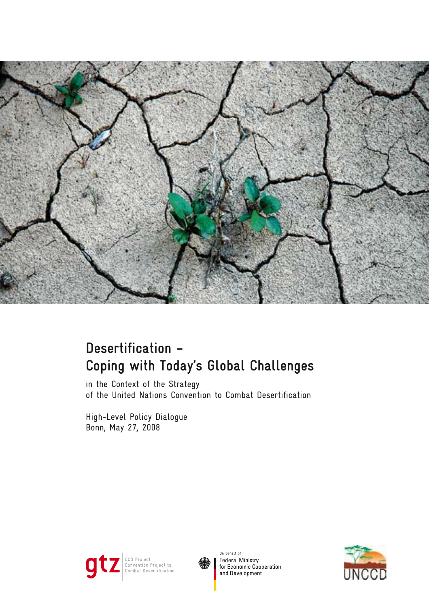

# **Desertification – Coping with Today's Global Challenges**

in the Context of the Strategy of the United Nations Convention to Combat Desertification

High-Level Policy Dialogue Bonn, May 27, 2008





On behalf of Federal Ministry<br>for Economic Cooperation and Development

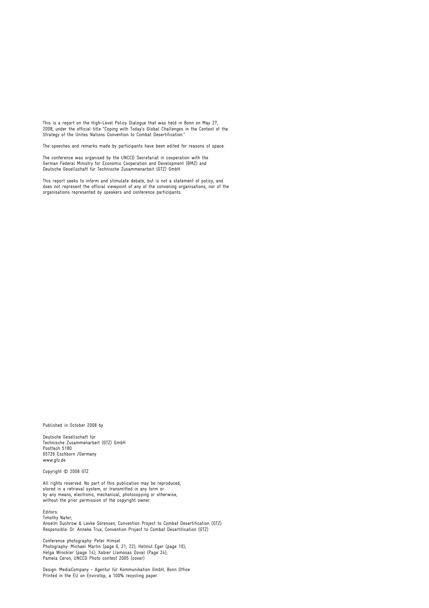This is a report on the High-Level Policy Dialogue that was held in Bonn on May 27, 2008, under the official title "Coping with Today's Global Challenges in the Context of the Strategy of the Unites Nations Convention to Combat Desertification."

The speeches and remarks made by participants have been edited for reasons of space.

The conference was organised by the UNCCD Secretariat in cooperation with the German Federal Ministry for Economic Cooperation and Development (BMZ) and Deutsche Gesellschaft für Technische Zusammenarbeit (GTZ) GmbH.

This report seeks to inform and stimulate debate, but is not a statement of policy, and does not represent the official viewpoint of any of the convening organisations, nor of the organisations represented by speakers and conference participants.

Published in October 2008 by

Deutsche Gesellschaft für Technische Zusammenarbeit (GTZ) GmbH Postfach 5180 65726 Eschborn /Germany www.gtz.de

Copyright © 2008 GTZ

All rights reserved. No part of this publication may be reproduced, stored in a retrieval system, or transmitted in any form or by any means, electronic, mechanical, photocopying or otherwise, without the prior permission of the copyright owner.

Editors:

Timothy Nater; Anselm Duchrow & Levke Sörensen, Convention Project to Combat Desertification (GTZ) Responsible: Dr. Anneke Trux, Convention Project to Combat Desertification (GTZ)

Conference photography: Peter Himsel Photography: Michael Martin (page 6, 21, 22); Helmut Eger (page 10); Helga Winckler (page 14); Xabier Llamosas Doval (Page 24); Pamela Ceron, UNCCD Photo contest 2005 (cover)

Design: MediaCompany - Agentur für Kommunikation GmbH, Bonn Office Printed in the EU on Envirotop, a 100% recycling paper.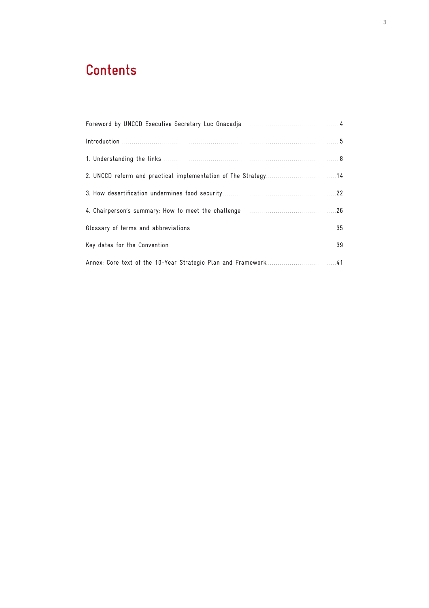# **Contents**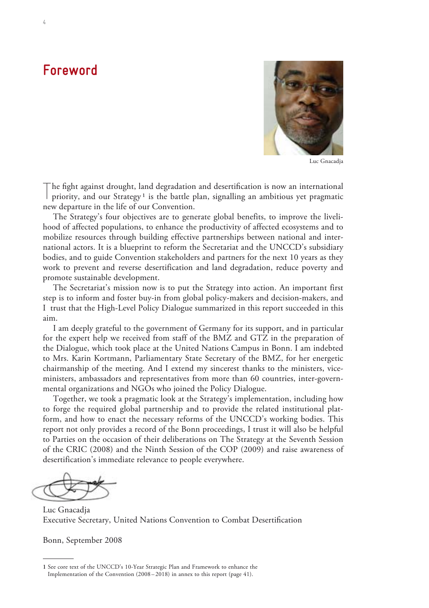# **Foreword**



Luc Gnacadja

T he fight against drought, land degradation and desertification is now an international priority, and our Strategy<sup>1</sup> is the battle plan, signalling an ambitious yet pragmatic new departure in the life of our Convention.

The Strategy's four objectives are to generate global benefits, to improve the livelihood of affected populations, to enhance the productivity of affected ecosystems and to mobilize resources through building effective partnerships between national and international actors. It is a blueprint to reform the Secretariat and the UNCCD's subsidiary bodies, and to guide Convention stakeholders and partners for the next 10 years as they work to prevent and reverse desertification and land degradation, reduce poverty and promote sustainable development.

The Secretariat's mission now is to put the Strategy into action. An important first step is to inform and foster buy-in from global policy-makers and decision-makers, and I trust that the High-Level Policy Dialogue summarized in this report succeeded in this aim.

I am deeply grateful to the government of Germany for its support, and in particular for the expert help we received from staff of the BMZ and GTZ in the preparation of the Dialogue, which took place at the United Nations Campus in Bonn. I am indebted to Mrs. Karin Kortmann, Parliamentary State Secretary of the BMZ, for her energetic chairmanship of the meeting. And I extend my sincerest thanks to the ministers, viceministers, ambassadors and representatives from more than 60 countries, inter-governmental organizations and NGOs who joined the Policy Dialogue.

Together, we took a pragmatic look at the Strategy's implementation, including how to forge the required global partnership and to provide the related institutional platform, and how to enact the necessary reforms of the UNCCD's working bodies. This report not only provides a record of the Bonn proceedings, I trust it will also be helpful to Parties on the occasion of their deliberations on The Strategy at the Seventh Session of the CRIC (2008) and the Ninth Session of the COP (2009) and raise awareness of desertification's immediate relevance to people everywhere.

Luc Gnacadja Executive Secretary, United Nations Convention to Combat Desertification

Bonn, September 2008

**<sup>1</sup>** See core text of the UNCCD's 10-Year Strategic Plan and Framework to enhance the Implementation of the Convention (2008 – 2018) in annex to this report (page 41).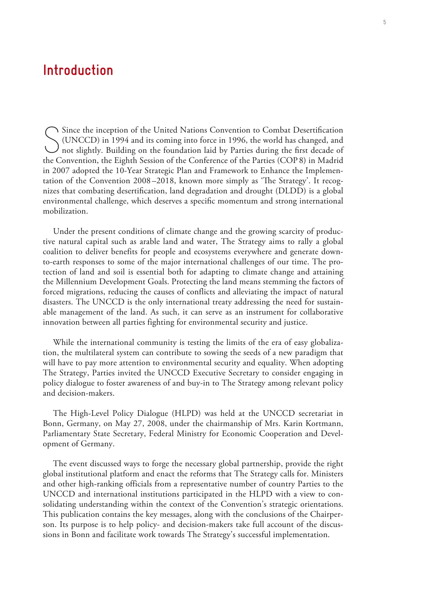# **Introduction**

Since the inception of the United Nations Convention to Combat Desertification (UNCCD) in 1994 and its coming into force in 1996, the world has changed, and not slightly. Building on the foundation laid by Parties during t Since the inception of the United Nations Convention to Combat Desertification (UNCCD) in 1994 and its coming into force in 1996, the world has changed, and the Convention, the Eighth Session of the Conference of the Parties (COP 8) in Madrid in 2007 adopted the 10-Year Strategic Plan and Framework to Enhance the Implementation of the Convention 2008 –2018, known more simply as 'The Strategy'. It recognizes that combating desertification, land degradation and drought (DLDD) is a global environmental challenge, which deserves a specific momentum and strong international mobilization.

Under the present conditions of climate change and the growing scarcity of productive natural capital such as arable land and water, The Strategy aims to rally a global coalition to deliver benefits for people and ecosystems everywhere and generate downto-earth responses to some of the major international challenges of our time. The protection of land and soil is essential both for adapting to climate change and attaining the Millennium Development Goals. Protecting the land means stemming the factors of forced migrations, reducing the causes of conflicts and alleviating the impact of natural disasters. The UNCCD is the only international treaty addressing the need for sustainable management of the land. As such, it can serve as an instrument for collaborative innovation between all parties fighting for environmental security and justice.

While the international community is testing the limits of the era of easy globalization, the multilateral system can contribute to sowing the seeds of a new paradigm that will have to pay more attention to environmental security and equality. When adopting The Strategy, Parties invited the UNCCD Executive Secretary to consider engaging in policy dialogue to foster awareness of and buy-in to The Strategy among relevant policy and decision-makers.

The High-Level Policy Dialogue (HLPD) was held at the UNCCD secretariat in Bonn, Germany, on May 27, 2008, under the chairmanship of Mrs. Karin Kortmann, Parliamentary State Secretary, Federal Ministry for Economic Cooperation and Development of Germany.

The event discussed ways to forge the necessary global partnership, provide the right global institutional platform and enact the reforms that The Strategy calls for. Ministers and other high-ranking officials from a representative number of country Parties to the UNCCD and international institutions participated in the HLPD with a view to consolidating understanding within the context of the Convention's strategic orientations. This publication contains the key messages, along with the conclusions of the Chairperson. Its purpose is to help policy- and decision-makers take full account of the discussions in Bonn and facilitate work towards The Strategy's successful implementation.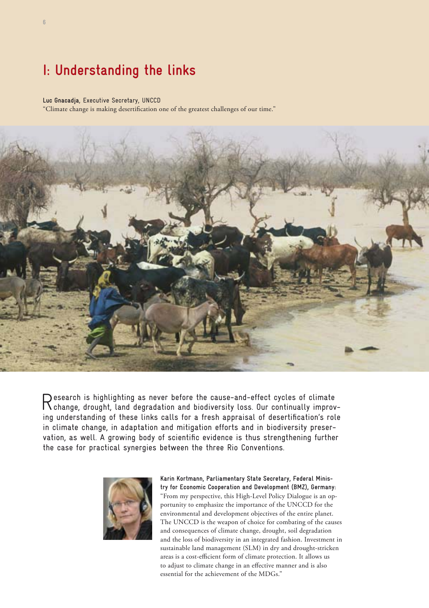# **I: Understanding the links**

#### **Luc Gnacadja**, Executive Secretary, UNCCD

" Climate change is making desertification one of the greatest challenges of our time."



Research is highlighting as never before the cause-and-effect cycles of climate change, drought, land degradation and biodiversity loss. Our continually improving understanding of these links calls for a fresh appraisal of desertification's role in climate change, in adaptation and mitigation efforts and in biodiversity preservation, as well. A growing body of scientific evidence is thus strengthening further the case for practical synergies between the three Rio Conventions.



**Karin Kortmann, Parliamentary State Secretary, Federal Ministry for Economic Cooperation and Development (BMZ), Germany:** "From my perspective, this High-Level Policy Dialogue is an opportunity to emphasize the importance of the UNCCD for the environmental and development objectives of the entire planet. The UNCCD is the weapon of choice for combating of the causes and consequences of climate change, drought, soil degradation and the loss of biodiversity in an integrated fashion. Investment in sustainable land management (SLM) in dry and drought-stricken areas is a cost-efficient form of climate protection. It allows us to adjust to climate change in an effective manner and is also essential for the achievement of the MDGs."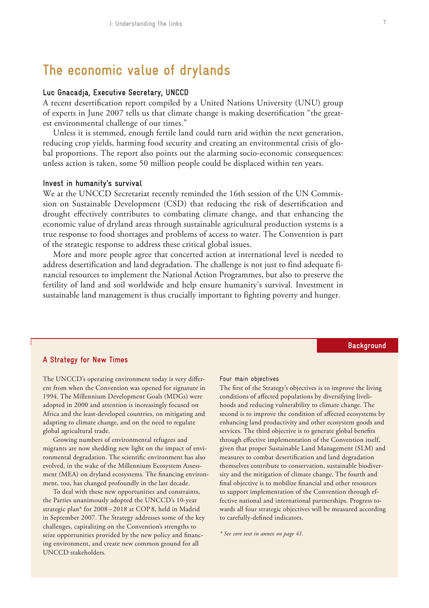# **The economic value of drylands**

### **Luc Gnacadja, Executive Secretary, UNCCD**

A recent desertification report compiled by a United Nations University (UNU) group of experts in June 2007 tells us that climate change is making desertification "the greatest environmental challenge of our times."

Unless it is stemmed, enough fertile land could turn arid within the next generation, reducing crop yields, harming food security and creating an environmental crisis of global proportions. The report also points out the alarming socio-economic consequences: unless action is taken, some 50 million people could be displaced within ten years.

#### **Invest in humanity's survival**

We at the UNCCD Secretariat recently reminded the 16th session of the UN Commission on Sustainable Development (CSD) that reducing the risk of desertification and drought effectively contributes to combating climate change, and that enhancing the economic value of dryland areas through sustainable agricultural production systems is a true response to food shortages and problems of access to water. The Convention is part of the strategic response to address these critical global issues.

More and more people agree that concerted action at international level is needed to address desertification and land degradation. The challenge is not just to find adequate financial resources to implement the National Action Programmes, but also to preserve the fertility of land and soil worldwide and help ensure humanity's survival. Investment in sustainable land management is thus crucially important to fighting poverty and hunger.

### **A Strategy for New Times**

The UNCCD's operating environment today is very different from when the Convention was opened for signature in 1994. The Millennium Development Goals (MDGs) were adopted in 2000 and attention is increasingly focused on Africa and the least-developed countries, on mitigating and adapting to climate change, and on the need to regulate global agricultural trade.

Growing numbers of environmental refugees and migrants are now shedding new light on the impact of environmental degradation. The scientific environment has also evolved, in the wake of the Millennium Ecosystem Assessment (MEA) on dryland ecosystems. The financing environment, too, has changed profoundly in the last decade.

To deal with these new opportunities and constraints, the Parties unanimously adopted the UNCCD's 10-year strategic plan\* for 2008 – 2018 at COP 8, held in Madrid in September 2007. The Strategy addresses some of the key challenges, capitalizing on the Convention's strengths to seize opportunities provided by the new policy and financing environment, and create new common ground for all UNCCD stakeholders.

#### Four main objectives

The first of the Strategy's objectives is to improve the living conditions of affected populations by diversifying livelihoods and reducing vulnerability to climate change. The second is to improve the condition of affected ecosystems by enhancing land productivity and other ecosystem goods and services. The third objective is to generate global benefits through effective implementation of the Convention itself, given that proper Sustainable Land Management (SLM) and measures to combat desertification and land degradation themselves contribute to conservation, sustainable biodiversity and the mitigation of climate change. The fourth and final objective is to mobilize financial and other resources to support implementation of the Convention through effective national and international partnerships. Progress towards all four strategic objectives will be measured according to carefully-defined indicators.

*\* See core text in annex on page 41.*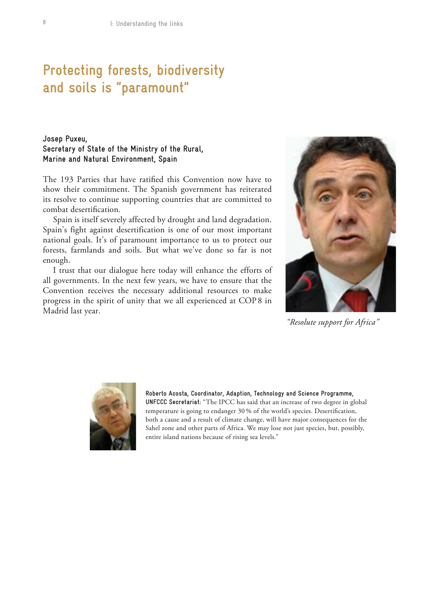# **Protecting forests, biodiversity and soils is "paramount"**

**Josep Puxeu, Secretary of State of the Ministry of the Rural, Marine and Natural Environment, Spain**

The 193 Parties that have ratified this Convention now have to show their commitment. The Spanish government has reiterated its resolve to continue supporting countries that are committed to combat desertification.

Spain is itself severely affected by drought and land degradation. Spain's fight against desertification is one of our most important national goals. It's of paramount importance to us to protect our forests, farmlands and soils. But what we've done so far is not enough.

I trust that our dialogue here today will enhance the efforts of all governments. In the next few years, we have to ensure that the Convention receives the necessary additional resources to make progress in the spirit of unity that we all experienced at COP 8 in Madrid last year.



*"Resolute support for Africa"*



**Roberto Acosta, Coordinator, Adaption, Technology and Science Programme, UNFCCC Secretariat:** "The IPCC has said that an increase of two degree in global temperature is going to endanger 30 % of the world's species. Desertification, both a cause and a result of climate change, will have major consequences for the Sahel zone and other parts of Africa. We may lose not just species, but, possibly, entire island nations because of rising sea levels."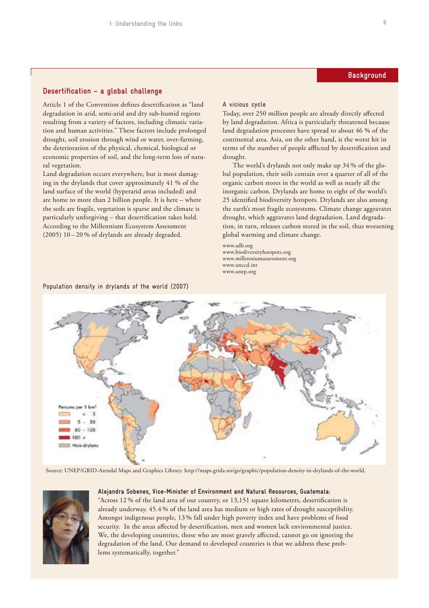### **Desertification – a global challenge**

Article 1 of the Convention defines desertification as "land degradation in arid, semi-arid and dry sub-humid regions resulting from a variety of factors, including climatic variation and human activities." These factors include prolonged drought, soil erosion through wind or water, over-farming, the deterioration of the physical, chemical, biological or economic properties of soil, and the long-term loss of natural vegetation.

Land degradation occurs everywhere, but is most damaging in the drylands that cover approximately 41 % of the land surface of the world (hyperarid areas included) and are home to more than 2 billion people. It is here – where the soils are fragile, vegetation is sparse and the climate is particularly unforgiving – that desertification takes hold. According to the Millennium Ecosystem Assessment (2005) 10 – 20 % of drylands are already degraded.

Population density in drylands of the world (2007)

#### A vicious cycle

Today, over 250 million people are already directly affected by land degradation. Africa is particularly threatened because land degradation processes have spread to about 46 % of the continental area. Asia, on the other hand, is the worst hit in terms of the number of people afflicted by desertification and drought.

The world's drylands not only make up 34 % of the global population, their soils contain over a quarter of all of the organic carbon stores in the world as well as nearly all the inorganic carbon. Drylands are home to eight of the world's 25 identified biodiversity hotspots. Drylands are also among the earth's most fragile ecosystems. Climate change aggravates drought, which aggravates land degradation. Land degradation, in turn, releases carbon stored in the soil, thus worsening global warming and climate change.

www.adb.org www.biodiversityhotspots.org www.millenniumassessment.org www.unccd.int www.unep.org



Source: UNEP/GRID-Arendal Maps and Graphics Library. http://maps.grida.no/go/graphic/population-density-in-drylands-of-the-world.



#### **Alejandra Sobenes, Vice-Minister of Environment and Natural Resources, Guatemala:**

"Across 12 % of the land area of our country, or 13,151 square kilometers, desertification is already underway. 45.4 % of the land area has medium or high rates of drought susceptibility. Amongst indigenous people, 13 % fall under high poverty index and have problems of food security. In the areas affected by desertification, men and women lack environmental justice. We, the developing countries, those who are most gravely affected, cannot go on ignoring the degradation of the land. Our demand to developed countries is that we address these problems systematically, together."

## **Background**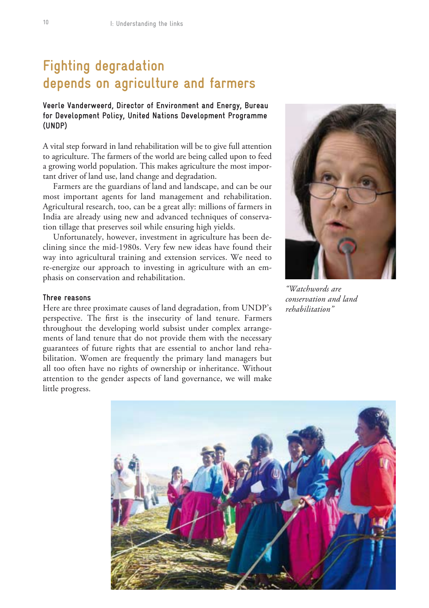# **Fighting degradation depends on agriculture and farmers**

## **Veerle Vanderweerd, Director of Environment and Energy, Bureau for Development Policy, United Nations Development Programme (UNDP)**

A vital step forward in land rehabilitation will be to give full attention to agriculture. The farmers of the world are being called upon to feed a growing world population. This makes agriculture the most important driver of land use, land change and degradation.

Farmers are the guardians of land and landscape, and can be our most important agents for land management and rehabilitation. Agricultural research, too, can be a great ally: millions of farmers in India are already using new and advanced techniques of conservation tillage that preserves soil while ensuring high yields.

Unfortunately, however, investment in agriculture has been declining since the mid-1980s. Very few new ideas have found their way into agricultural training and extension services. We need to re-energize our approach to investing in agriculture with an emphasis on conservation and rehabilitation.

### **Three reasons**

Here are three proximate causes of land degradation, from UNDP's perspective. The first is the insecurity of land tenure. Farmers throughout the developing world subsist under complex arrangements of land tenure that do not provide them with the necessary guarantees of future rights that are essential to anchor land rehabilitation. Women are frequently the primary land managers but all too often have no rights of ownership or inheritance. Without attention to the gender aspects of land governance, we will make little progress.



*"Watchwords are conservation and land rehabilitation"*

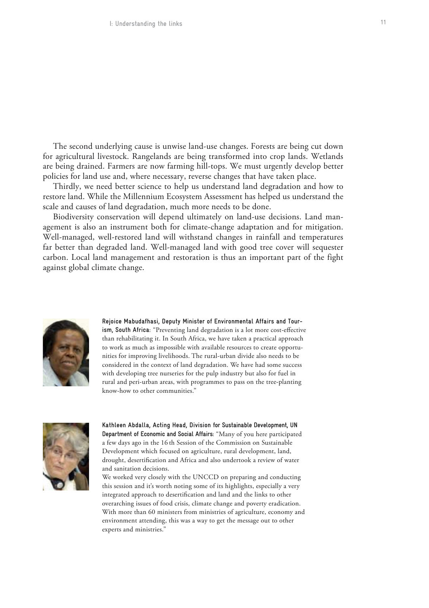The second underlying cause is unwise land-use changes. Forests are being cut down for agricultural livestock. Rangelands are being transformed into crop lands. Wetlands are being drained. Farmers are now farming hill-tops. We must urgently develop better policies for land use and, where necessary, reverse changes that have taken place.

Thirdly, we need better science to help us understand land degradation and how to restore land. While the Millennium Ecosystem Assessment has helped us understand the scale and causes of land degradation, much more needs to be done.

Biodiversity conservation will depend ultimately on land-use decisions. Land management is also an instrument both for climate-change adaptation and for mitigation. Well-managed, well-restored land will withstand changes in rainfall and temperatures far better than degraded land. Well-managed land with good tree cover will sequester carbon. Local land management and restoration is thus an important part of the fight against global climate change.



**Rejoice Mabudafhasi, Deputy Minister of Environmental Affairs and Tourism, South Africa:** "Preventing land degradation is a lot more cost-effective than rehabilitating it. In South Africa, we have taken a practical approach to work as much as impossible with available resources to create opportunities for improving livelihoods. The rural-urban divide also needs to be considered in the context of land degradation. We have had some success with developing tree nurseries for the pulp industry but also for fuel in rural and peri-urban areas, with programmes to pass on the tree-planting know-how to other communities."



**Kathleen Abdalla, Acting Head, Division for Sustainable Development, UN Department of Economic and Social Affairs:** "Many of you here participated a few days ago in the 16 th Session of the Commission on Sustainable Development which focused on agriculture, rural development, land, drought, desertification and Africa and also undertook a review of water and sanitation decisions.

We worked very closely with the UNCCD on preparing and conducting this session and it's worth noting some of its highlights, especially a very integrated approach to desertification and land and the links to other overarching issues of food crisis, climate change and poverty eradication. With more than 60 ministers from ministries of agriculture, economy and environment attending, this was a way to get the message out to other experts and ministries."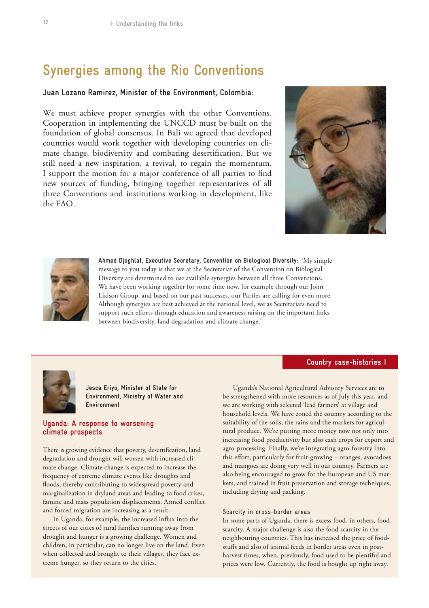# **Synergies among the Rio Conventions**

### **Juan Lozano Ramirez, Minister of the Environment, Colombia:**

We must achieve proper synergies with the other Conventions. Cooperation in implementing the UNCCD must be built on the foundation of global consensus. In Bali we agreed that developed countries would work together with developing countries on climate change, biodiversity and combating desertification. But we still need a new inspiration, a revival, to regain the momentum. I support the motion for a major conference of all parties to find new sources of funding, bringing together representatives of all three Conventions and institutions working in development, like the FAO.





**Ahmed Djoghlaf, Executive Secretary, Convention on Biological Diversity:** "My simple message to you today is that we at the Secretariat of the Convention on Biological Diversity are determined to use available synergies between all three Conventions. We have been working together for some time now, for example through our Joint Liaison Group, and based on our past successes, our Parties are calling for even more. Although synergies are best achieved at the national level, we as Secretariats need to support such efforts through education and awareness raising on the important links between biodiversity, land degradation and climate change."

### **Country case-histories I**



**Jesca Eriyo, Minister of State for Environment, Ministry of Water and Environment** 

### **Uganda: A response to worsening climate prospects**

There is growing evidence that poverty, desertification, land degradation and drought will worsen with increased climate change. Climate change is expected to increase the frequency of extreme climate events like droughts and floods, thereby contributing to widespread poverty and marginalization in dryland areas and leading to food crises, famine and mass population displacements. Armed conflict and forced migration are increasing as a result.

In Uganda, for example, the increased influx into the streets of our cities of rural families running away from drought and hunger is a growing challenge. Women and children, in particular, can no longer live on the land. Even when collected and brought to their villages, they face extreme hunger, so they return to the cities.

Uganda's National Agricultural Advisory Services are to be strengthened with more resources as of July this year, and we are working with selected 'lead farmers' at village and household levels. We have zoned the country according to the suitability of the soils, the rains and the markets for agricultural produce. We're putting more money now not only into increasing food productivity but also cash crops for export and agro-processing. Finally, we're integrating agro-forestry into this effort, particularly for fruit-growing – oranges, avocadoes and mangoes are doing very well in our country. Farmers are also being encouraged to grow for the European and US markets, and trained in fruit preservation and storage techniques, including drying and packing.

#### Scarcity in cross-border areas

In some parts of Uganda, there is excess food, in others, food scarcity. A major challenge is also the food scarcity in the neighbouring countries. This has increased the price of foodstuffs and also of animal feeds in border areas even in postharvest times, when, previously, food used to be plentiful and prices were low. Currently, the food is bought up right away.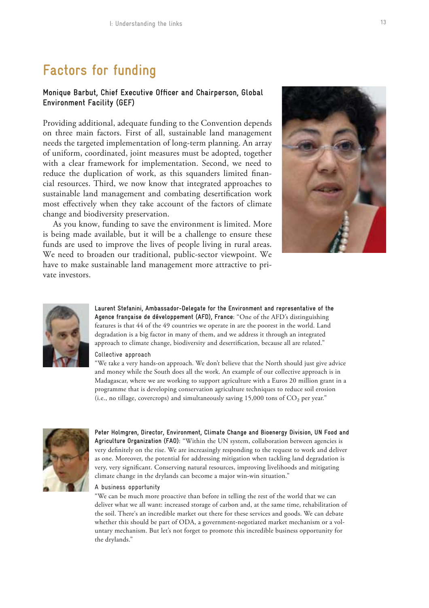# **Factors for funding**

## **Monique Barbut, Chief Executive Officer and Chairperson, Global Environment Facility (GEF)**

Providing additional, adequate funding to the Convention depends on three main factors. First of all, sustainable land management needs the targeted implementation of long-term planning. An array of uniform, coordinated, joint measures must be adopted, together with a clear framework for implementation. Second, we need to reduce the duplication of work, as this squanders limited financial resources. Third, we now know that integrated approaches to sustainable land management and combating desertification work most effectively when they take account of the factors of climate change and biodiversity preservation.

As you know, funding to save the environment is limited. More is being made available, but it will be a challenge to ensure these funds are used to improve the lives of people living in rural areas. We need to broaden our traditional, public-sector viewpoint. We have to make sustainable land management more attractive to private investors.





**Laurent Stefanini, Ambassador-Delegate for the Environment and representative of the Agence française de développement (AFD), France:** "One of the AFD's distinguishing features is that 44 of the 49 countries we operate in are the poorest in the world. Land degradation is a big factor in many of them, and we address it through an integrated approach to climate change, biodiversity and desertification, because all are related."

Collective approach

"We take a very hands-on approach. We don't believe that the North should just give advice and money while the South does all the work. An example of our collective approach is in Madagascar, where we are working to support agriculture with a Euros 20 million grant in a programme that is developing conservation agriculture techniques to reduce soil erosion (i.e., no tillage, covercrops) and simultaneously saving  $15,000$  tons of  $CO<sub>2</sub>$  per year."



**Peter Holmgren, Director, Environment, Climate Change and Bioenergy Division, UN Food and Agriculture Organization (FAO):** "Within the UN system, collaboration between agencies is very definitely on the rise. We are increasingly responding to the request to work and deliver as one. Moreover, the potential for addressing mitigation when tackling land degradation is very, very significant. Conserving natural resources, improving livelihoods and mitigating climate change in the drylands can become a major win-win situation."

#### A business opportunity

"We can be much more proactive than before in telling the rest of the world that we can deliver what we all want: increased storage of carbon and, at the same time, rehabilitation of the soil. There's an incredible market out there for these services and goods. We can debate whether this should be part of ODA, a government-negotiated market mechanism or a voluntary mechanism. But let's not forget to promote this incredible business opportunity for the drylands."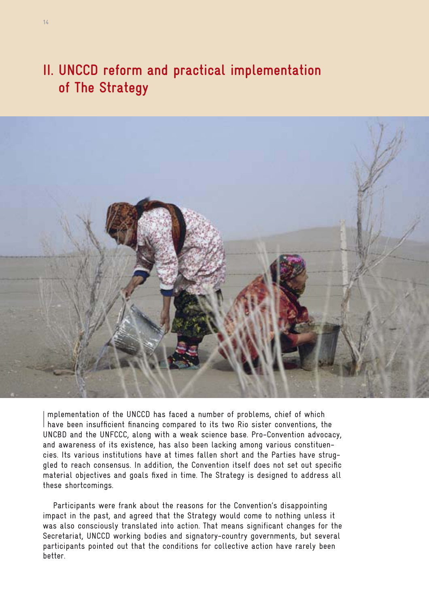# **II. UNCCD reform and practical implementation of The Strategy**



Implementation of the UNCCD has faced a number of problems, chief of which<br>I have been insufficient financing compared to its two Rio sister conventions, the mplementation of the UNCCD has faced a number of problems, chief of which UNCBD and the UNFCCC, along with a weak science base. Pro-Convention advocacy, and awareness of its existence, has also been lacking among various constituencies. Its various institutions have at times fallen short and the Parties have struggled to reach consensus. In addition, the Convention itself does not set out specific material objectives and goals fixed in time. The Strategy is designed to address all these shortcomings.

Participants were frank about the reasons for the Convention's disappointing impact in the past, and agreed that the Strategy would come to nothing unless it was also consciously translated into action. That means significant changes for the Secretariat, UNCCD working bodies and signatory-country governments, but several participants pointed out that the conditions for collective action have rarely been better.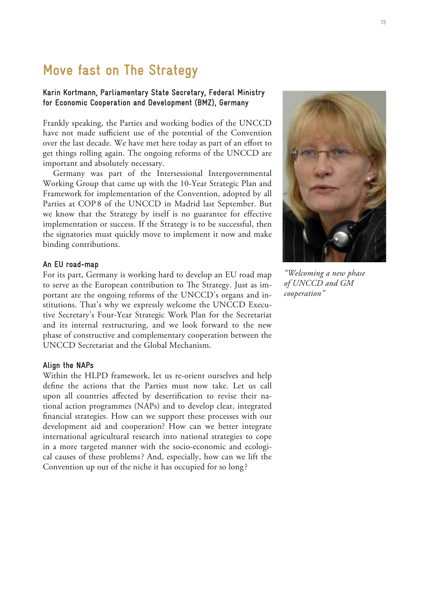# **Move fast on The Strategy**

## **Karin Kortmann, Parliamentary State Secretary, Federal Ministry for Economic Cooperation and Development (BMZ), Germany**

Frankly speaking, the Parties and working bodies of the UNCCD have not made sufficient use of the potential of the Convention over the last decade. We have met here today as part of an effort to get things rolling again. The ongoing reforms of the UNCCD are important and absolutely necessary.

Germany was part of the Intersessional Intergovernmental Working Group that came up with the 10-Year Strategic Plan and Framework for implementation of the Convention, adopted by all Parties at COP 8 of the UNCCD in Madrid last September. But we know that the Strategy by itself is no guarantee for effective implementation or success. If the Strategy is to be successful, then the signatories must quickly move to implement it now and make binding contributions.

### **An EU road-map**

For its part, Germany is working hard to develop an EU road map to serve as the European contribution to The Strategy. Just as important are the ongoing reforms of the UNCCD's organs and institutions. That's why we expressly welcome the UNCCD Executive Secretary's Four-Year Strategic Work Plan for the Secretariat and its internal restructuring, and we look forward to the new phase of constructive and complementary cooperation between the UNCCD Secretariat and the Global Mechanism.

#### **Align the NAPs**

Within the HLPD framework, let us re-orient ourselves and help define the actions that the Parties must now take. Let us call upon all countries affected by desertification to revise their national action programmes (NAPs) and to develop clear, integrated financial strategies. How can we support these processes with our development aid and cooperation? How can we better integrate international agricultural research into national strategies to cope in a more targeted manner with the socio-economic and ecological causes of these problems ? And, especially, how can we lift the Convention up out of the niche it has occupied for so long ?



*"Welcoming a new phase of UNCCD and GM cooperation"*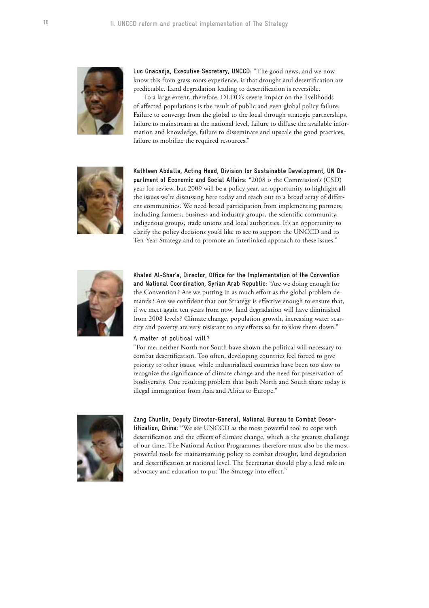

**Luc Gnacadja, Executive Secretary, UNCCD:** "The good news, and we now know this from grass-roots experience, is that drought and desertification are predictable. Land degradation leading to desertification is reversible.

To a large extent, therefore, DLDD's severe impact on the livelihoods of affected populations is the result of public and even global policy failure. Failure to converge from the global to the local through strategic partnerships, failure to mainstream at the national level, failure to diffuse the available information and knowledge, failure to disseminate and upscale the good practices, failure to mobilize the required resources."



**Kathleen Abdalla, Acting Head, Division for Sustainable Development, UN Department of Economic and Social Affairs:** "2008 is the Commission's (CSD) year for review, but 2009 will be a policy year, an opportunity to highlight all the issues we're discussing here today and reach out to a broad array of different communities. We need broad participation from implementing partners, including farmers, business and industry groups, the scientific community, indigenous groups, trade unions and local authorities. It's an opportunity to clarify the policy decisions you'd like to see to support the UNCCD and its Ten-Year Strategy and to promote an interlinked approach to these issues."



**Khaled Al-Shar'a, Director, Office for the Implementation of the Convention and National Coordination, Syrian Arab Republic:** "Are we doing enough for the Convention ? Are we putting in as much effort as the global problem demands ? Are we confident that our Strategy is effective enough to ensure that, if we meet again ten years from now, land degradation will have diminished from 2008 levels ? Climate change, population growth, increasing water scarcity and poverty are very resistant to any efforts so far to slow them down."

#### A matter of political will?

"For me, neither North nor South have shown the political will necessary to combat desertification. Too often, developing countries feel forced to give priority to other issues, while industrialized countries have been too slow to recognize the significance of climate change and the need for preservation of biodiversity. One resulting problem that both North and South share today is illegal immigration from Asia and Africa to Europe."



#### **Zang Chunlin, Deputy Director-General, National Bureau to Combat Deser-**

**tification, China:** "We see UNCCD as the most powerful tool to cope with desertification and the effects of climate change, which is the greatest challenge of our time. The National Action Programmes therefore must also be the most powerful tools for mainstreaming policy to combat drought, land degradation and desertification at national level. The Secretariat should play a lead role in advocacy and education to put The Strategy into effect."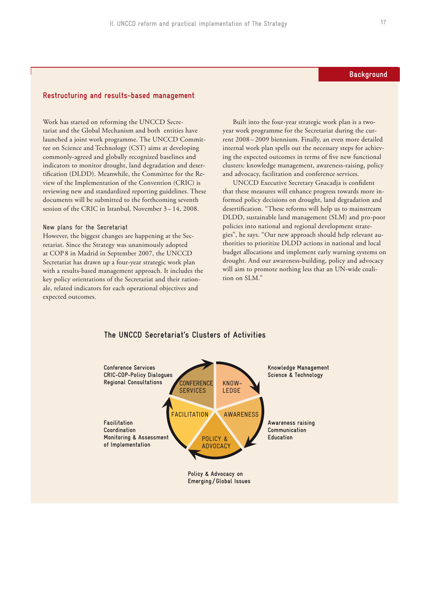### **Background**

### **Restructuring and results-based management**

Work has started on reforming the UNCCD Secretariat and the Global Mechanism and both entities have launched a joint work programme. The UNCCD Committee on Science and Technology (CST) aims at developing commonly-agreed and globally recognized baselines and indicators to monitor drought, land degradation and desertification (DLDD). Meanwhile, the Committee for the Review of the Implementation of the Convention (CRIC) is reviewing new and standardized reporting guidelines. These documents will be submitted to the forthcoming seventh session of the CRIC in Istanbul, November 3-14, 2008.

#### New plans for the Secretariat

However, the biggest changes are happening at the Secretariat. Since the Strategy was unanimously adopted at COP 8 in Madrid in September 2007, the UNCCD Secretariat has drawn up a four-year strategic work plan with a results-based management approach. It includes the key policy orientations of the Secretariat and their rationale, related indicators for each operational objectives and expected outcomes.

Built into the four-year strategic work plan is a twoyear work programme for the Secretariat during the current 2008 – 2009 biennium. Finally, an even more detailed internal work plan spells out the necessary steps for achieving the expected outcomes in terms of five new functional clusters: knowledge management, awareness-raising, policy and advocacy, facilitation and conference services.

UNCCD Executive Secretary Gnacadja is confident that these measures will enhance progress towards more informed policy decisions on drought, land degradation and desertification. "These reforms will help us to mainstream DLDD, sustainable land management (SLM) and pro-poor policies into national and regional development strategies", he says. "Our new approach should help relevant authorities to prioritize DLDD actions in national and local budget allocations and implement early warning systems on drought. And our awareness-building, policy and advocacy will aim to promote nothing less that an UN-wide coalition on SLM."



#### **The UNCCD Secretariat's Clusters of Activities**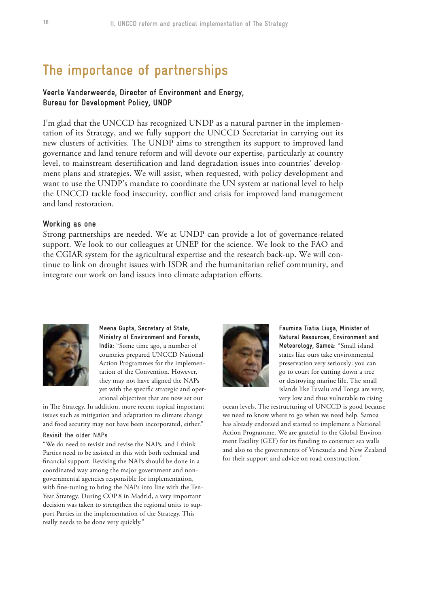# **The importance of partnerships**

## **Veerle Vanderweerde, Director of Environment and Energy, Bureau for Development Policy, UNDP**

I'm glad that the UNCCD has recognized UNDP as a natural partner in the implementation of its Strategy, and we fully support the UNCCD Secretariat in carrying out its new clusters of activities. The UNDP aims to strengthen its support to improved land governance and land tenure reform and will devote our expertise, particularly at country level, to mainstream desertification and land degradation issues into countries' development plans and strategies. We will assist, when requested, with policy development and want to use the UNDP's mandate to coordinate the UN system at national level to help the UNCCD tackle food insecurity, conflict and crisis for improved land management and land restoration.

#### **Working as one**

Strong partnerships are needed. We at UNDP can provide a lot of governance-related support. We look to our colleagues at UNEP for the science. We look to the FAO and the CGIAR system for the agricultural expertise and the research back-up. We will continue to link on drought issues with ISDR and the humanitarian relief community, and integrate our work on land issues into climate adaptation efforts.



**Meena Gupta, Secretary of State, Ministry of Environment and Forests, India:** "Some time ago, a number of countries prepared UNCCD National Action Programmes for the implementation of the Convention. However, they may not have aligned the NAPs yet with the specific strategic and operational objectives that are now set out

in The Strategy. In addition, more recent topical important issues such as mitigation and adaptation to climate change and food security may not have been incorporated, either."

#### Revisit the older NAPs

"We do need to revisit and revise the NAPs, and I think Parties need to be assisted in this with both technical and financial support. Revising the NAPs should be done in a coordinated way among the major government and nongovernmental agencies responsible for implementation, with fine-tuning to bring the NAPs into line with the Ten-Year Strategy. During COP 8 in Madrid, a very important decision was taken to strengthen the regional units to support Parties in the implementation of the Strategy. This really needs to be done very quickly."



**Faumina Tiatia Liuga, Minister of Natural Resources, Environment and Meteorology, Samoa:** "Small island states like ours take environmental preservation very seriously: you can go to court for cutting down a tree or destroying marine life. The small islands like Tuvalu and Tonga are very, very low and thus vulnerable to rising

ocean levels. The restructuring of UNCCD is good because we need to know where to go when we need help. Samoa has already endorsed and started to implement a National Action Programme. We are grateful to the Global Environment Facility (GEF) for its funding to construct sea walls and also to the governments of Venezuela and New Zealand for their support and advice on road construction."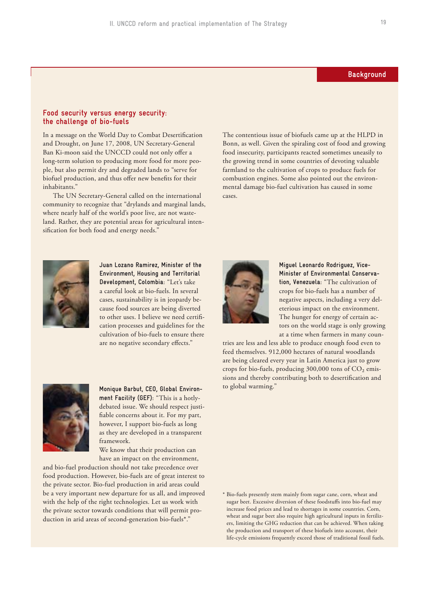## **Background**

#### **Food security versus energy security: the challenge of bio-fuels**

In a message on the World Day to Combat Desertification and Drought, on June 17, 2008, UN Secretary-General Ban Ki-moon said the UNCCD could not only offer a long-term solution to producing more food for more people, but also permit dry and degraded lands to "serve for biofuel production, and thus offer new benefits for their inhabitants.'

The UN Secretary-General called on the international community to recognize that "drylands and marginal lands, where nearly half of the world's poor live, are not wasteland. Rather, they are potential areas for agricultural intensification for both food and energy needs."



**Juan Lozano Ramirez, Minister of the Environment, Housing and Territorial Development, Colombia:** "Let's take a careful look at bio-fuels. In several cases, sustainability is in jeopardy because food sources are being diverted to other uses. I believe we need certification processes and guidelines for the cultivation of bio-fuels to ensure there are no negative secondary effects."



to global warming." **Monique Barbut, CEO, Global Environment Facility (GEF):** "This is a hotlydebated issue. We should respect justifiable concerns about it. For my part, however, I support bio-fuels as long as they are developed in a transparent framework.

We know that their production can have an impact on the environment,

and bio-fuel production should not take precedence over food production. However, bio-fuels are of great interest to the private sector. Bio-fuel production in arid areas could be a very important new departure for us all, and improved with the help of the right technologies. Let us work with the private sector towards conditions that will permit production in arid areas of second-generation bio-fuels\*."

The contentious issue of biofuels came up at the HLPD in Bonn, as well. Given the spiraling cost of food and growing food insecurity, participants reacted sometimes uneasily to the growing trend in some countries of devoting valuable farmland to the cultivation of crops to produce fuels for combustion engines. Some also pointed out the environmental damage bio-fuel cultivation has caused in some cases.



**Miguel Leonardo Rodriguez, Vice-Minister of Environmental Conservation, Venezuela:** "The cultivation of crops for bio-fuels has a number of negative aspects, including a very deleterious impact on the environment. The hunger for energy of certain actors on the world stage is only growing at a time when farmers in many coun-

tries are less and less able to produce enough food even to feed themselves. 912,000 hectares of natural woodlands are being cleared every year in Latin America just to grow crops for bio-fuels, producing 300,000 tons of CO₂ emissions and thereby contributing both to desertification and

\* Bio-fuels presently stem mainly from sugar cane, corn, wheat and sugar beet. Excessive diversion of these foodstuffs into bio-fuel may increase food prices and lead to shortages in some countries. Corn, wheat and sugar beet also require high agricultural inputs in fertilizers, limiting the GHG reduction that can be achieved. When taking the production and transport of these biofuels into account, their life-cycle emissions frequently exceed those of traditional fossil fuels.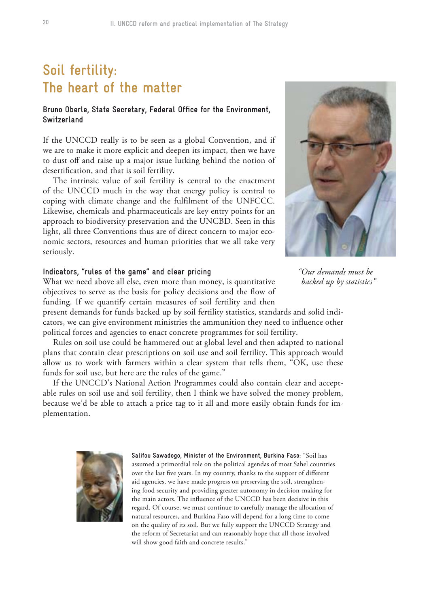# **Soil fertility: The heart of the matter**

## **Bruno Oberle, State Secretary, Federal Office for the Environment, Switzerland**

If the UNCCD really is to be seen as a global Convention, and if we are to make it more explicit and deepen its impact, then we have to dust off and raise up a major issue lurking behind the notion of desertification, and that is soil fertility.

The intrinsic value of soil fertility is central to the enactment of the UNCCD much in the way that energy policy is central to coping with climate change and the fulfilment of the UNFCCC. Likewise, chemicals and pharmaceuticals are key entry points for an approach to biodiversity preservation and the UNCBD. Seen in this light, all three Conventions thus are of direct concern to major economic sectors, resources and human priorities that we all take very seriously.

## **Indicators, "rules of the game" and clear pricing**

What we need above all else, even more than money, is quantitative objectives to serve as the basis for policy decisions and the flow of funding. If we quantify certain measures of soil fertility and then

present demands for funds backed up by soil fertility statistics, standards and solid indicators, we can give environment ministries the ammunition they need to influence other political forces and agencies to enact concrete programmes for soil fertility.

Rules on soil use could be hammered out at global level and then adapted to national plans that contain clear prescriptions on soil use and soil fertility. This approach would allow us to work with farmers within a clear system that tells them, "OK, use these funds for soil use, but here are the rules of the game."

If the UNCCD's National Action Programmes could also contain clear and acceptable rules on soil use and soil fertility, then I think we have solved the money problem, because we'd be able to attach a price tag to it all and more easily obtain funds for implementation.



**Salifou Sawadogo, Minister of the Environment, Burkina Faso:** "Soil has assumed a primordial role on the political agendas of most Sahel countries over the last five years. In my country, thanks to the support of different aid agencies, we have made progress on preserving the soil, strengthening food security and providing greater autonomy in decision-making for the main actors. The influence of the UNCCD has been decisive in this regard. Of course, we must continue to carefully manage the allocation of natural resources, and Burkina Faso will depend for a long time to come on the quality of its soil. But we fully support the UNCCD Strategy and the reform of Secretariat and can reasonably hope that all those involved will show good faith and concrete results."



*" Our demands must be backed up by statistics"*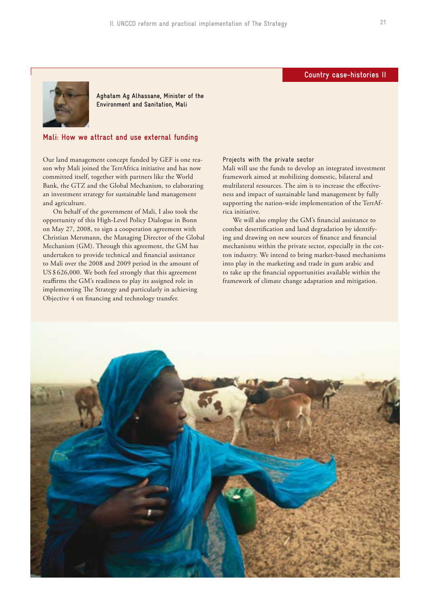## **Country case-histories II**



**Aghatam Ag Alhassane, Minister of the Environment and Sanitation, Mali**

### **Mali: How we attract and use external funding**

Our land management concept funded by GEF is one reason why Mali joined the TerrAfrica initiative and has now committed itself, together with partners like the World Bank, the GTZ and the Global Mechanism, to elaborating an investment strategy for sustainable land management and agriculture.

On behalf of the government of Mali, I also took the opportunity of this High-Level Policy Dialogue in Bonn on May 27, 2008, to sign a cooperation agreement with Christian Mersmann, the Managing Director of the Global Mechanism (GM). Through this agreement, the GM has undertaken to provide technical and financial assistance to Mali over the 2008 and 2009 period in the amount of US \$ 626,000. We both feel strongly that this agreement reaffirms the GM's readiness to play its assigned role in implementing The Strategy and particularly in achieving Objective 4 on financing and technology transfer.

Projects with the private sector

Mali will use the funds to develop an integrated investment framework aimed at mobilizing domestic, bilateral and multilateral resources. The aim is to increase the effectiveness and impact of sustainable land management by fully supporting the nation-wide implementation of the TerrAfrica initiative.

We will also employ the GM's financial assistance to combat desertification and land degradation by identifying and drawing on new sources of finance and financial mechanisms within the private sector, especially in the cotton industry. We intend to bring market-based mechanisms into play in the marketing and trade in gum arabic and to take up the financial opportunities available within the framework of climate change adaptation and mitigation.

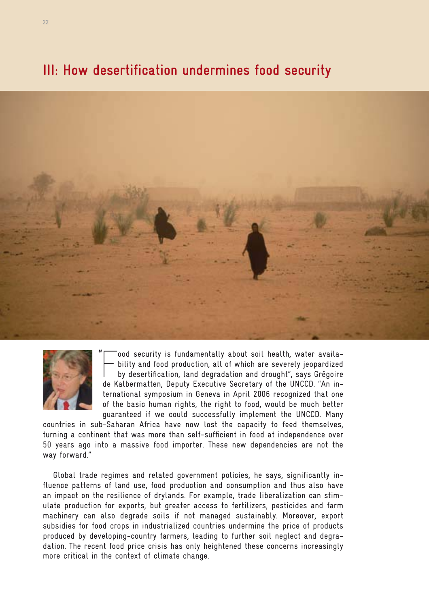# **III: How desertification undermines food security**





"

 $\sqrt{\frac{1}{2}}$ ood security is fundamentally about soil health, water availability and food production, all of which are severely jeopardized by desertification, land degradation and drought", says Grégoire de Kalbermatten, Deputy Executive Secretary of the UNCCD. "An international symposium in Geneva in April 2006 recognized that one of the basic human rights, the right to food, would be much better guaranteed if we could successfully implement the UNCCD. Many

countries in sub-Saharan Africa have now lost the capacity to feed themselves, turning a continent that was more than self-sufficient in food at independence over 50 years ago into a massive food importer. These new dependencies are not the way forward."

Global trade regimes and related government policies, he says, significantly influence patterns of land use, food production and consumption and thus also have an impact on the resilience of drylands. For example, trade liberalization can stimulate production for exports, but greater access to fertilizers, pesticides and farm machinery can also degrade soils if not managed sustainably. Moreover, export subsidies for food crops in industrialized countries undermine the price of products produced by developing-country farmers, leading to further soil neglect and degradation. The recent food price crisis has only heightened these concerns increasingly more critical in the context of climate change.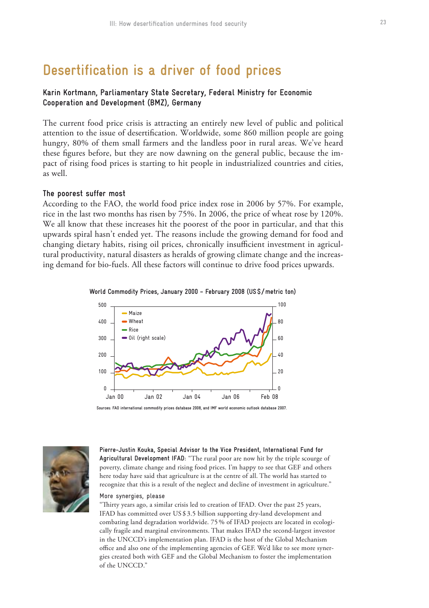# **Desertification is a driver of food prices**

# **Karin Kortmann, Parliamentary State Secretary, Federal Ministry for Economic Cooperation and Development (BMZ), Germany**

The current food price crisis is attracting an entirely new level of public and political attention to the issue of desertification. Worldwide, some 860 million people are going hungry, 80% of them small farmers and the landless poor in rural areas. We've heard these figures before, but they are now dawning on the general public, because the impact of rising food prices is starting to hit people in industrialized countries and cities, as well.

### **The poorest suffer most**

According to the FAO, the world food price index rose in 2006 by 57%. For example, rice in the last two months has risen by 75%. In 2006, the price of wheat rose by 120%. We all know that these increases hit the poorest of the poor in particular, and that this upwards spiral hasn't ended yet. The reasons include the growing demand for food and changing dietary habits, rising oil prices, chronically insufficient investment in agricultural productivity, natural disasters as heralds of growing climate change and the increasing demand for bio-fuels. All these factors will continue to drive food prices upwards.





**Sources: FAO international commodity prices database 2008, and IMF world economic outlook database 2007.**



**Pierre-Justin Kouka, Special Advisor to the Vice President, International Fund for Agricultural Development IFAD:** "The rural poor are now hit by the triple scourge of poverty, climate change and rising food prices. I'm happy to see that GEF and others here today have said that agriculture is at the centre of all. The world has started to recognize that this is a result of the neglect and decline of investment in agriculture."

#### More synergies, please

"Thirty years ago, a similar crisis led to creation of IFAD. Over the past 25 years, IFAD has committed over US \$ 3.5 billion supporting dry-land development and combating land degradation worldwide. 75 % of IFAD projects are located in ecologically fragile and marginal environments. That makes IFAD the second-largest investor in the UNCCD's implementation plan. IFAD is the host of the Global Mechanism office and also one of the implementing agencies of GEF. We'd like to see more synergies created both with GEF and the Global Mechanism to foster the implementation of the UNCCD."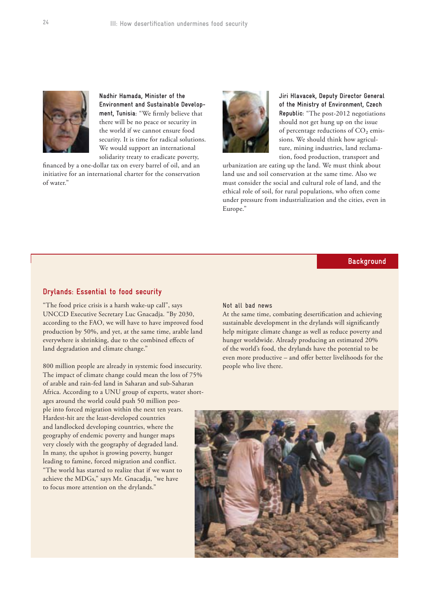

**Nadhir Hamada, Minister of the Environment and Sustainable Development, Tunisia:** "We firmly believe that there will be no peace or security in the world if we cannot ensure food security. It is time for radical solutions. We would support an international solidarity treaty to eradicate poverty,

financed by a one-dollar tax on every barrel of oil, and an initiative for an international charter for the conservation of water."



**Jiri Hlavacek, Deputy Director General of the Ministry of Environment, Czech Republic:** "The post-2012 negotiations should not get hung up on the issue of percentage reductions of CO<sub>2</sub> emissions. We should think how agriculture, mining industries, land reclamation, food production, transport and

urbanization are eating up the land. We must think about land use and soil conservation at the same time. Also we must consider the social and cultural role of land, and the ethical role of soil, for rural populations, who often come under pressure from industrialization and the cities, even in Europe."

## **Background**

### **Drylands: Essential to food security**

"The food price crisis is a harsh wake-up call", says UNCCD Executive Secretary Luc Gnacadja. "By 2030, according to the FAO, we will have to have improved food production by 50%, and yet, at the same time, arable land everywhere is shrinking, due to the combined effects of land degradation and climate change."

800 million people are already in systemic food insecurity. The impact of climate change could mean the loss of 75% of arable and rain-fed land in Saharan and sub-Saharan Africa. According to a UNU group of experts, water shortages around the world could push 50 million people into forced migration within the next ten years. Hardest-hit are the least-developed countries and landlocked developing countries, where the geography of endemic poverty and hunger maps very closely with the geography of degraded land. In many, the upshot is growing poverty, hunger leading to famine, forced migration and conflict. "The world has started to realize that if we want to achieve the MDGs," says Mr. Gnacadja, "we have to focus more attention on the drylands."

#### Not all bad news

At the same time, combating desertification and achieving sustainable development in the drylands will significantly help mitigate climate change as well as reduce poverty and hunger worldwide. Already producing an estimated 20% of the world's food, the drylands have the potential to be even more productive – and offer better livelihoods for the people who live there.

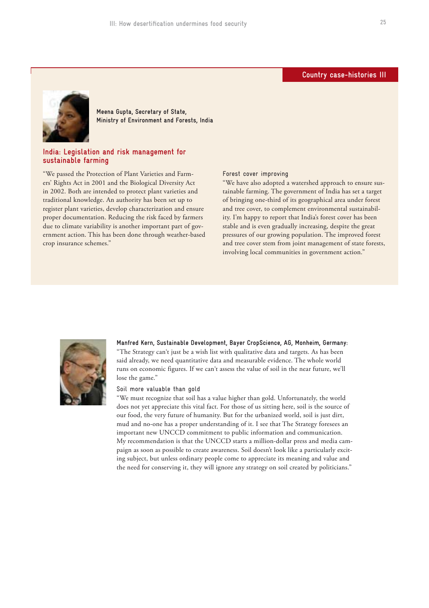### **Country case-histories III**



**Meena Gupta, Secretary of State, Ministry of Environment and Forests, India**

### **India: Legislation and risk management for sustainable farming**

"We passed the Protection of Plant Varieties and Farmers' Rights Act in 2001 and the Biological Diversity Act in 2002. Both are intended to protect plant varieties and traditional knowledge. An authority has been set up to register plant varieties, develop characterization and ensure proper documentation. Reducing the risk faced by farmers due to climate variability is another important part of government action. This has been done through weather-based crop insurance schemes."

#### Forest cover improving

"We have also adopted a watershed approach to ensure sustainable farming. The government of India has set a target of bringing one-third of its geographical area under forest and tree cover, to complement environmental sustainability. I'm happy to report that India's forest cover has been stable and is even gradually increasing, despite the great pressures of our growing population. The improved forest and tree cover stem from joint management of state forests, involving local communities in government action."



**Manfred Kern, Sustainable Development, Bayer CropScience, AG, Monheim, Germany:**  "The Strategy can't just be a wish list with qualitative data and targets. As has been said already, we need quantitative data and measurable evidence. The whole world runs on economic figures. If we can't assess the value of soil in the near future, we'll lose the game."

#### Soil more valuable than gold

"We must recognize that soil has a value higher than gold. Unfortunately, the world does not yet appreciate this vital fact. For those of us sitting here, soil is the source of our food, the very future of humanity. But for the urbanized world, soil is just dirt, mud and no-one has a proper understanding of it. I see that The Strategy foresees an important new UNCCD commitment to public information and communication. My recommendation is that the UNCCD starts a million-dollar press and media campaign as soon as possible to create awareness. Soil doesn't look like a particularly exciting subject, but unless ordinary people come to appreciate its meaning and value and the need for conserving it, they will ignore any strategy on soil created by politicians."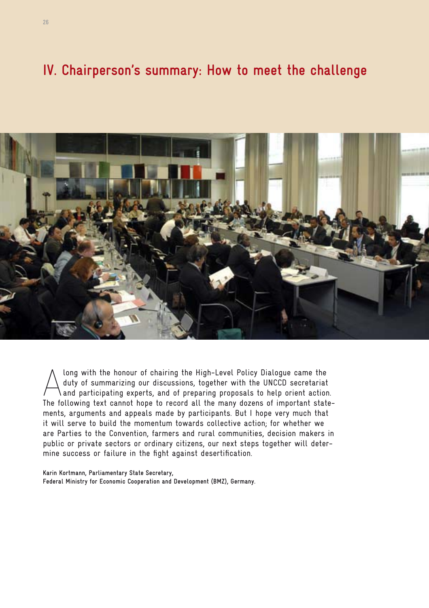# **IV. Chairperson's summary: How to meet the challenge**



Along with the honour of chairing the High-Level Policy Dialogue came the<br>duty of summarizing our discussions, together with the UNCCD secretariat<br>and participating experts, and of preparing proposals to help orient action duty of summarizing our discussions, together with the UNCCD secretariat and participating experts, and of preparing proposals to help orient action. The following text cannot hope to record all the many dozens of important statements, arguments and appeals made by participants. But I hope very much that it will serve to build the momentum towards collective action; for whether we are Parties to the Convention, farmers and rural communities, decision makers in public or private sectors or ordinary citizens, our next steps together will determine success or failure in the fight against desertification.

**Karin Kortmann, Parliamentary State Secretary, Federal Ministry for Economic Cooperation and Development (BMZ), Germany.**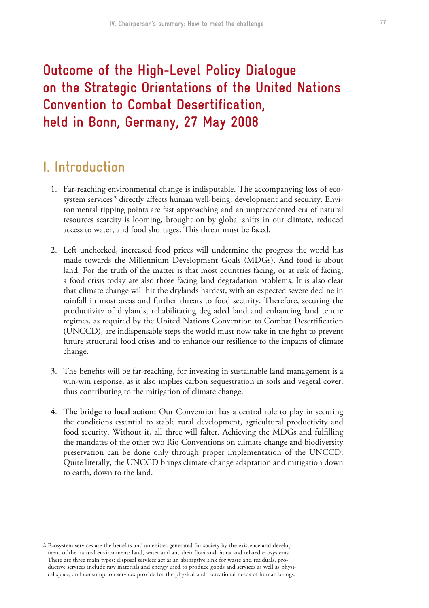# **Outcome of the High-Level Policy Dialogue on the Strategic Orientations of the United Nations Convention to Combat Desertification, held in Bonn, Germany, 27 May 2008**

# **I. Introduction**

- 1. Far-reaching environmental change is indisputable. The accompanying loss of ecosystem services<sup>2</sup> directly affects human well-being, development and security. Environmental tipping points are fast approaching and an unprecedented era of natural resources scarcity is looming, brought on by global shifts in our climate, reduced access to water, and food shortages. This threat must be faced.
- 2. Left unchecked, increased food prices will undermine the progress the world has made towards the Millennium Development Goals (MDGs). And food is about land. For the truth of the matter is that most countries facing, or at risk of facing, a food crisis today are also those facing land degradation problems. It is also clear that climate change will hit the drylands hardest, with an expected severe decline in rainfall in most areas and further threats to food security. Therefore, securing the productivity of drylands, rehabilitating degraded land and enhancing land tenure regimes, as required by the United Nations Convention to Combat Desertification (UNCCD), are indispensable steps the world must now take in the fight to prevent future structural food crises and to enhance our resilience to the impacts of climate change.
- 3. The benefits will be far-reaching, for investing in sustainable land management is a win-win response, as it also implies carbon sequestration in soils and vegetal cover, thus contributing to the mitigation of climate change.
- 4. **The bridge to local action:** Our Convention has a central role to play in securing the conditions essential to stable rural development, agricultural productivity and food security. Without it, all three will falter. Achieving the MDGs and fulfilling the mandates of the other two Rio Conventions on climate change and biodiversity preservation can be done only through proper implementation of the UNCCD. Quite literally, the UNCCD brings climate-change adaptation and mitigation down to earth, down to the land.

**<sup>2</sup>** Ecosystem services are the benefits and amenities generated for society by the existence and development of the natural environment: land, water and air, their flora and fauna and related ecosystems. There are three main types: disposal services act as an absorptive sink for waste and residuals, productive services include raw materials and energy used to produce goods and services as well as physical space, and consumption services provide for the physical and recreational needs of human beings.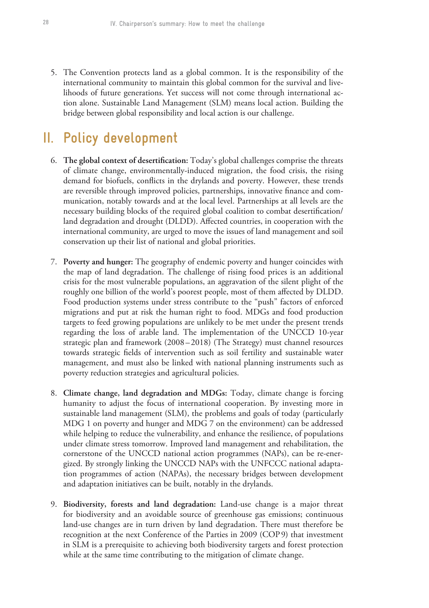5. The Convention protects land as a global common. It is the responsibility of the international community to maintain this global common for the survival and livelihoods of future generations. Yet success will not come through international action alone. Sustainable Land Management (SLM) means local action. Building the bridge between global responsibility and local action is our challenge.

# **II. Policy development**

- 6. **The global context of desertification:** Today's global challenges comprise the threats of climate change, environmentally-induced migration, the food crisis, the rising demand for biofuels, conflicts in the drylands and poverty. However, these trends are reversible through improved policies, partnerships, innovative finance and communication, notably towards and at the local level. Partnerships at all levels are the necessary building blocks of the required global coalition to combat desertification/ land degradation and drought (DLDD). Affected countries, in cooperation with the international community, are urged to move the issues of land management and soil conservation up their list of national and global priorities.
- 7. **Poverty and hunger:** The geography of endemic poverty and hunger coincides with the map of land degradation. The challenge of rising food prices is an additional crisis for the most vulnerable populations, an aggravation of the silent plight of the roughly one billion of the world's poorest people, most of them affected by DLDD. Food production systems under stress contribute to the "push" factors of enforced migrations and put at risk the human right to food. MDGs and food production targets to feed growing populations are unlikely to be met under the present trends regarding the loss of arable land. The implementation of the UNCCD 10-year strategic plan and framework (2008 – 2018) (The Strategy) must channel resources towards strategic fields of intervention such as soil fertility and sustainable water management, and must also be linked with national planning instruments such as poverty reduction strategies and agricultural policies.
- 8. **Climate change, land degradation and MDGs:** Today, climate change is forcing humanity to adjust the focus of international cooperation. By investing more in sustainable land management (SLM), the problems and goals of today (particularly MDG 1 on poverty and hunger and MDG 7 on the environment) can be addressed while helping to reduce the vulnerability, and enhance the resilience, of populations under climate stress tomorrow. Improved land management and rehabilitation, the cornerstone of the UNCCD national action programmes (NAPs), can be re-energized. By strongly linking the UNCCD NAPs with the UNFCCC national adaptation programmes of action (NAPAs), the necessary bridges between development and adaptation initiatives can be built, notably in the drylands.
- 9. **Biodiversity, forests and land degradation:** Land-use change is a major threat for biodiversity and an avoidable source of greenhouse gas emissions; continuous land-use changes are in turn driven by land degradation. There must therefore be recognition at the next Conference of the Parties in 2009 (COP 9) that investment in SLM is a prerequisite to achieving both biodiversity targets and forest protection while at the same time contributing to the mitigation of climate change.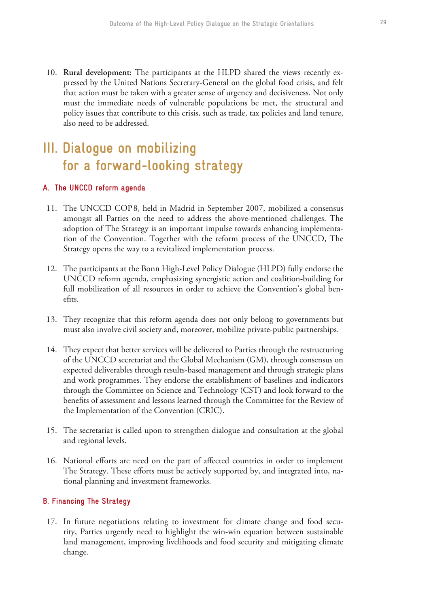10. **Rural development:** The participants at the HLPD shared the views recently expressed by the United Nations Secretary-General on the global food crisis, and felt that action must be taken with a greater sense of urgency and decisiveness. Not only must the immediate needs of vulnerable populations be met, the structural and policy issues that contribute to this crisis, such as trade, tax policies and land tenure, also need to be addressed.

# **III. Dialogue on mobilizing for a forward-looking strategy**

## **A. The UNCCD reform agenda**

- 11. The UNCCD COP 8, held in Madrid in September 2007, mobilized a consensus amongst all Parties on the need to address the above-mentioned challenges. The adoption of The Strategy is an important impulse towards enhancing implementation of the Convention. Together with the reform process of the UNCCD, The Strategy opens the way to a revitalized implementation process.
- 12. The participants at the Bonn High-Level Policy Dialogue (HLPD) fully endorse the UNCCD reform agenda, emphasizing synergistic action and coalition-building for full mobilization of all resources in order to achieve the Convention's global benefits.
- 13. They recognize that this reform agenda does not only belong to governments but must also involve civil society and, moreover, mobilize private-public partnerships.
- 14. They expect that better services will be delivered to Parties through the restructuring of the UNCCD secretariat and the Global Mechanism (GM), through consensus on expected deliverables through results-based management and through strategic plans and work programmes. They endorse the establishment of baselines and indicators through the Committee on Science and Technology (CST) and look forward to the benefits of assessment and lessons learned through the Committee for the Review of the Implementation of the Convention (CRIC).
- 15. The secretariat is called upon to strengthen dialogue and consultation at the global and regional levels.
- 16. National efforts are need on the part of affected countries in order to implement The Strategy. These efforts must be actively supported by, and integrated into, national planning and investment frameworks.

## **B. Financing The Strategy**

 17. In future negotiations relating to investment for climate change and food security, Parties urgently need to highlight the win-win equation between sustainable land management, improving livelihoods and food security and mitigating climate change.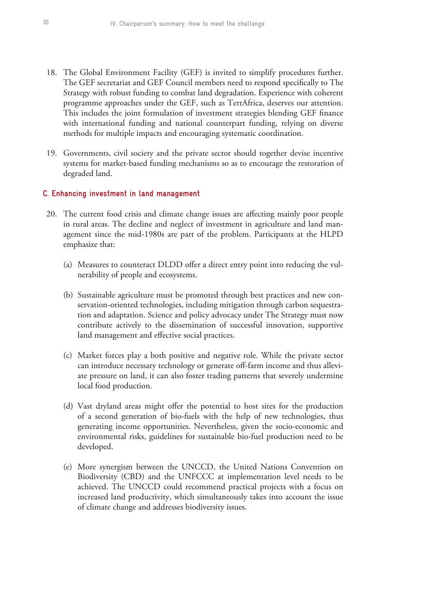- 18. The Global Environment Facility (GEF) is invited to simplify procedures further. The GEF secretariat and GEF Council members need to respond specifically to The Strategy with robust funding to combat land degradation. Experience with coherent programme approaches under the GEF, such as TerrAfrica, deserves our attention. This includes the joint formulation of investment strategies blending GEF finance with international funding and national counterpart funding, relying on diverse methods for multiple impacts and encouraging systematic coordination.
- 19. Governments, civil society and the private sector should together devise incentive systems for market-based funding mechanisms so as to encourage the restoration of degraded land.

### **C. Enhancing investment in land management**

- 20. The current food crisis and climate change issues are affecting mainly poor people in rural areas. The decline and neglect of investment in agriculture and land management since the mid-1980s are part of the problem. Participants at the HLPD emphasize that:
	- (a) Measures to counteract DLDD offer a direct entry point into reducing the vulnerability of people and ecosystems.
	- (b) Sustainable agriculture must be promoted through best practices and new conservation-oriented technologies, including mitigation through carbon sequestration and adaptation. Science and policy advocacy under The Strategy must now contribute actively to the dissemination of successful innovation, supportive land management and effective social practices.
	- (c) Market forces play a both positive and negative role. While the private sector can introduce necessary technology or generate off-farm income and thus alleviate pressure on land, it can also foster trading patterns that severely undermine local food production.
	- (d) Vast dryland areas might offer the potential to host sites for the production of a second generation of bio-fuels with the help of new technologies, thus generating income opportunities. Nevertheless, given the socio-economic and environmental risks, guidelines for sustainable bio-fuel production need to be developed.
	- (e) More synergism between the UNCCD, the United Nations Convention on Biodiversity (CBD) and the UNFCCC at implementation level needs to be achieved. The UNCCD could recommend practical projects with a focus on increased land productivity, which simultaneously takes into account the issue of climate change and addresses biodiversity issues.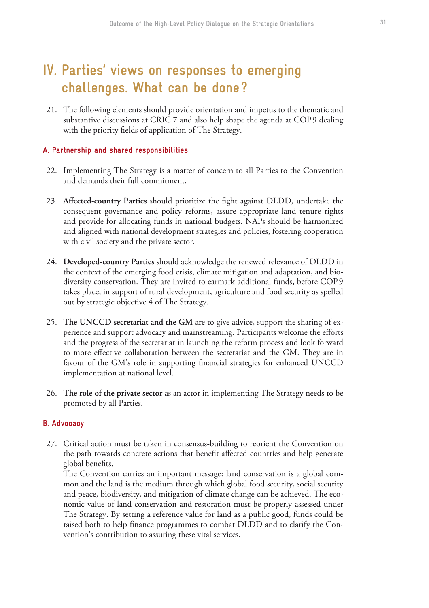# **IV. Parties' views on responses to emerging challenges. What can be done ?**

 21. The following elements should provide orientation and impetus to the thematic and substantive discussions at CRIC 7 and also help shape the agenda at COP9 dealing with the priority fields of application of The Strategy.

## **A. Partnership and shared responsibilities**

- 22. Implementing The Strategy is a matter of concern to all Parties to the Convention and demands their full commitment.
- 23. **Affected-country Parties** should prioritize the fight against DLDD, undertake the consequent governance and policy reforms, assure appropriate land tenure rights and provide for allocating funds in national budgets. NAPs should be harmonized and aligned with national development strategies and policies, fostering cooperation with civil society and the private sector.
- 24. **Developed-country Parties** should acknowledge the renewed relevance of DLDD in the context of the emerging food crisis, climate mitigation and adaptation, and biodiversity conservation. They are invited to earmark additional funds, before COP 9 takes place, in support of rural development, agriculture and food security as spelled out by strategic objective 4 of The Strategy.
- 25. **The UNCCD secretariat and the GM** are to give advice, support the sharing of experience and support advocacy and mainstreaming. Participants welcome the efforts and the progress of the secretariat in launching the reform process and look forward to more effective collaboration between the secretariat and the GM. They are in favour of the GM's role in supporting financial strategies for enhanced UNCCD implementation at national level.
- 26. **The role of the private sector** as an actor in implementing The Strategy needs to be promoted by all Parties.

## **B. Advocacy**

 27. Critical action must be taken in consensus-building to reorient the Convention on the path towards concrete actions that benefit affected countries and help generate global benefits.

 The Convention carries an important message: land conservation is a global common and the land is the medium through which global food security, social security and peace, biodiversity, and mitigation of climate change can be achieved. The economic value of land conservation and restoration must be properly assessed under The Strategy. By setting a reference value for land as a public good, funds could be raised both to help finance programmes to combat DLDD and to clarify the Convention's contribution to assuring these vital services.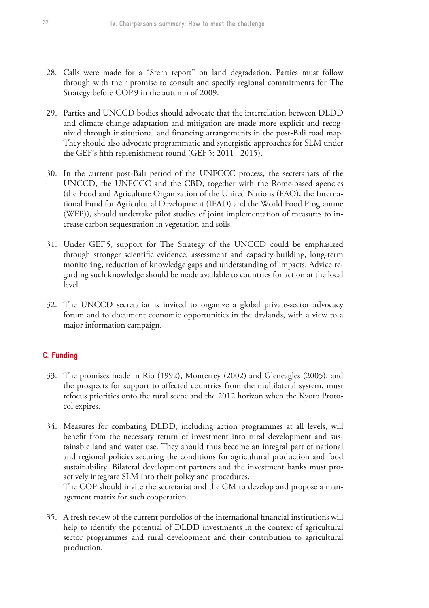- 28. Calls were made for a "Stern report" on land degradation. Parties must follow through with their promise to consult and specify regional commitments for The Strategy before COP9 in the autumn of 2009.
- 29. Parties and UNCCD bodies should advocate that the interrelation between DLDD and climate change adaptation and mitigation are made more explicit and recognized through institutional and financing arrangements in the post-Bali road map. They should also advocate programmatic and synergistic approaches for SLM under the GEF's fifth replenishment round (GEF 5: 2011 – 2015).
- 30. In the current post-Bali period of the UNFCCC process, the secretariats of the UNCCD, the UNFCCC and the CBD, together with the Rome-based agencies (the Food and Agriculture Organization of the United Nations (FAO), the International Fund for Agricultural Development (IFAD) and the World Food Programme (WFP)), should undertake pilot studies of joint implementation of measures to increase carbon sequestration in vegetation and soils.
- 31. Under GEF 5, support for The Strategy of the UNCCD could be emphasized through stronger scientific evidence, assessment and capacity-building, long-term monitoring, reduction of knowledge gaps and understanding of impacts. Advice regarding such knowledge should be made available to countries for action at the local level.
- 32. The UNCCD secretariat is invited to organize a global private-sector advocacy forum and to document economic opportunities in the drylands, with a view to a major information campaign.

# **C. Funding**

- 33. The promises made in Rio (1992), Monterrey (2002) and Gleneagles (2005), and the prospects for support to affected countries from the multilateral system, must refocus priorities onto the rural scene and the 2012 horizon when the Kyoto Protocol expires.
- 34. Measures for combating DLDD, including action programmes at all levels, will benefit from the necessary return of investment into rural development and sustainable land and water use. They should thus become an integral part of national and regional policies securing the conditions for agricultural production and food sustainability. Bilateral development partners and the investment banks must proactively integrate SLM into their policy and procedures. The COP should invite the secretariat and the GM to develop and propose a man-

agement matrix for such cooperation.

 35. A fresh review of the current portfolios of the international financial institutions will help to identify the potential of DLDD investments in the context of agricultural sector programmes and rural development and their contribution to agricultural production.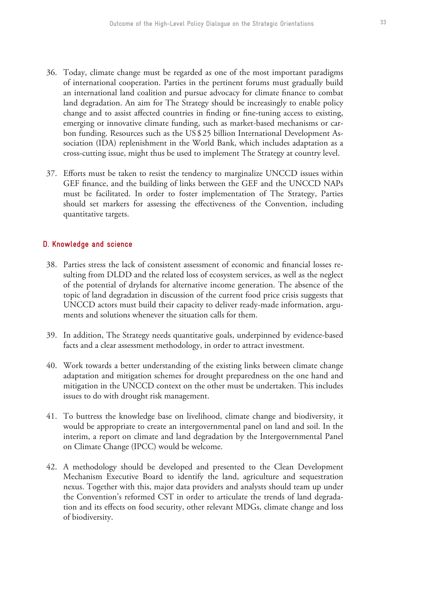- 36. Today, climate change must be regarded as one of the most important paradigms of international cooperation. Parties in the pertinent forums must gradually build an international land coalition and pursue advocacy for climate finance to combat land degradation. An aim for The Strategy should be increasingly to enable policy change and to assist affected countries in finding or fine-tuning access to existing, emerging or innovative climate funding, such as market-based mechanisms or carbon funding. Resources such as the US \$ 25 billion International Development Association (IDA) replenishment in the World Bank, which includes adaptation as a cross-cutting issue, might thus be used to implement The Strategy at country level.
- 37. Efforts must be taken to resist the tendency to marginalize UNCCD issues within GEF finance, and the building of links between the GEF and the UNCCD NAPs must be facilitated. In order to foster implementation of The Strategy, Parties should set markers for assessing the effectiveness of the Convention, including quantitative targets.

### **D. Knowledge and science**

- 38. Parties stress the lack of consistent assessment of economic and financial losses resulting from DLDD and the related loss of ecosystem services, as well as the neglect of the potential of drylands for alternative income generation. The absence of the topic of land degradation in discussion of the current food price crisis suggests that UNCCD actors must build their capacity to deliver ready-made information, arguments and solutions whenever the situation calls for them.
- 39. In addition, The Strategy needs quantitative goals, underpinned by evidence-based facts and a clear assessment methodology, in order to attract investment.
- 40. Work towards a better understanding of the existing links between climate change adaptation and mitigation schemes for drought preparedness on the one hand and mitigation in the UNCCD context on the other must be undertaken. This includes issues to do with drought risk management.
- 41. To buttress the knowledge base on livelihood, climate change and biodiversity, it would be appropriate to create an intergovernmental panel on land and soil. In the interim, a report on climate and land degradation by the Intergovernmental Panel on Climate Change (IPCC) would be welcome.
- 42. A methodology should be developed and presented to the Clean Development Mechanism Executive Board to identify the land, agriculture and sequestration nexus. Together with this, major data providers and analysts should team up under the Convention's reformed CST in order to articulate the trends of land degradation and its effects on food security, other relevant MDGs, climate change and loss of biodiversity.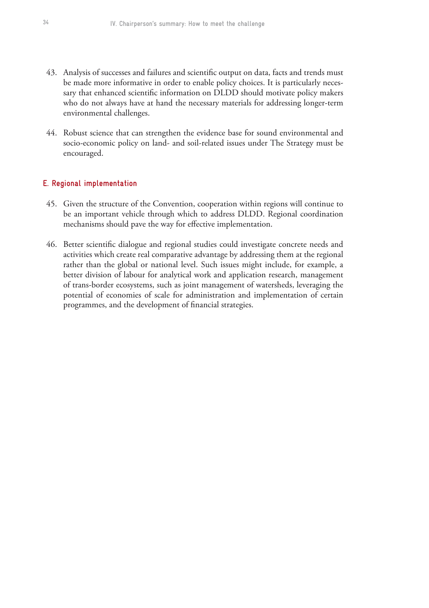- 43. Analysis of successes and failures and scientific output on data, facts and trends must be made more informative in order to enable policy choices. It is particularly necessary that enhanced scientific information on DLDD should motivate policy makers who do not always have at hand the necessary materials for addressing longer-term environmental challenges.
- 44. Robust science that can strengthen the evidence base for sound environmental and socio-economic policy on land- and soil-related issues under The Strategy must be encouraged.

### **E. Regional implementation**

- 45. Given the structure of the Convention, cooperation within regions will continue to be an important vehicle through which to address DLDD. Regional coordination mechanisms should pave the way for effective implementation.
- 46. Better scientific dialogue and regional studies could investigate concrete needs and activities which create real comparative advantage by addressing them at the regional rather than the global or national level. Such issues might include, for example, a better division of labour for analytical work and application research, management of trans-border ecosystems, such as joint management of watersheds, leveraging the potential of economies of scale for administration and implementation of certain programmes, and the development of financial strategies.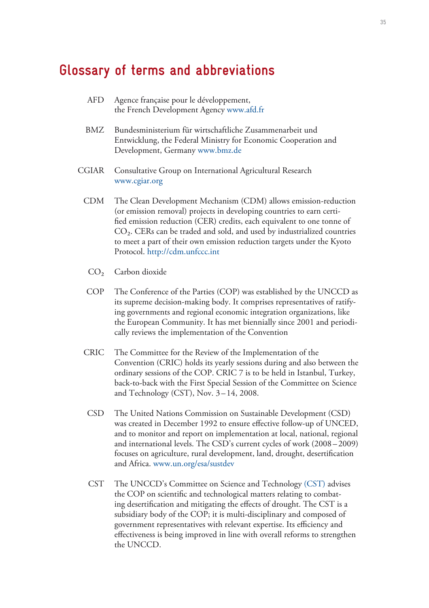# **Glossary of terms and abbreviations**

| AFD.  | Agence française pour le développement,<br>the French Development Agency www.afd.fr                                                                           |
|-------|---------------------------------------------------------------------------------------------------------------------------------------------------------------|
| BMZ   | Bundesministerium für wirtschaftliche Zusammenarbeit und<br>Entwicklung, the Federal Ministry for Economic Cooperation and<br>Development, Germany www.bmz.de |
| CGIAR | Consultative Group on International Agricultural Research<br>www.cgiar.org                                                                                    |
|       |                                                                                                                                                               |

- CDM The Clean Development Mechanism (CDM) allows emission-reduction (or emission removal) projects in developing countries to earn certified emission reduction (CER) credits, each equivalent to one tonne of  $CO<sub>2</sub>$ . CERs can be traded and sold, and used by industrialized countries to meet a part of their own emission reduction targets under the Kyoto Protocol. http://cdm.unfccc.int
	- CO<sub>2</sub> Carbon dioxide
- COP The Conference of the Parties (COP) was established by the UNCCD as its supreme decision-making body. It comprises representatives of ratifying governments and regional economic integration organizations, like the European Community. It has met biennially since 2001 and periodically reviews the implementation of the Convention
- CRIC The Committee for the Review of the Implementation of the Convention (CRIC) holds its yearly sessions during and also between the ordinary sessions of the COP. CRIC 7 is to be held in Istanbul, Turkey, back-to-back with the First Special Session of the Committee on Science and Technology (CST), Nov. 3 – 14, 2008.
- CSD The United Nations Commission on Sustainable Development (CSD) was created in December 1992 to ensure effective follow-up of UNCED, and to monitor and report on implementation at local, national, regional and international levels. The CSD's current cycles of work (2008 – 2009) focuses on agriculture, rural development, land, drought, desertification and Africa. www.un.org/esa/sustdev
- CST The UNCCD's Committee on Science and Technology (CST) advises the COP on scientific and technological matters relating to combating desertification and mitigating the effects of drought. The CST is a subsidiary body of the COP; it is multi-disciplinary and composed of government representatives with relevant expertise. Its efficiency and effectiveness is being improved in line with overall reforms to strengthen the UNCCD.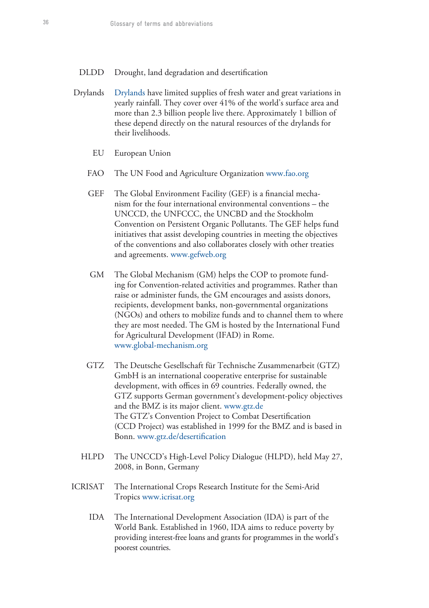- DLDD Drought, land degradation and desertification
- Drylands Drylands have limited supplies of fresh water and great variations in yearly rainfall. They cover over 41% of the world's surface area and more than 2.3 billion people live there. Approximately 1 billion of these depend directly on the natural resources of the drylands for their livelihoods.
	- EU European Union
	- FAO The UN Food and Agriculture Organization www.fao.org
	- GEF The Global Environment Facility (GEF) is a financial mechanism for the four international environmental conventions – the UNCCD, the UNFCCC, the UNCBD and the Stockholm Convention on Persistent Organic Pollutants. The GEF helps fund initiatives that assist developing countries in meeting the objectives of the conventions and also collaborates closely with other treaties and agreements. www.gefweb.org
	- GM The Global Mechanism (GM) helps the COP to promote funding for Convention-related activities and programmes. Rather than raise or administer funds, the GM encourages and assists donors, recipients, development banks, non-governmental organizations (NGOs) and others to mobilize funds and to channel them to where they are most needed. The GM is hosted by the International Fund for Agricultural Development (IFAD) in Rome. www.global-mechanism.org
	- GTZ The Deutsche Gesellschaft für Technische Zusammenarbeit (GTZ) GmbH is an international cooperative enterprise for sustainable development, with offices in 69 countries. Federally owned, the GTZ supports German government's development-policy objectives and the BMZ is its major client. www.gtz.de The GTZ's Convention Project to Combat Desertification (CCD Project) was established in 1999 for the BMZ and is based in Bonn. www.gtz.de/desertification
	- HLPD The UNCCD's High-Level Policy Dialogue (HLPD), held May 27, 2008, in Bonn, Germany
- ICRISAT The International Crops Research Institute for the Semi-Arid Tropics www.icrisat.org
	- IDA The International Development Association (IDA) is part of the World Bank. Established in 1960, IDA aims to reduce poverty by providing interest-free loans and grants for programmes in the world's poorest countries.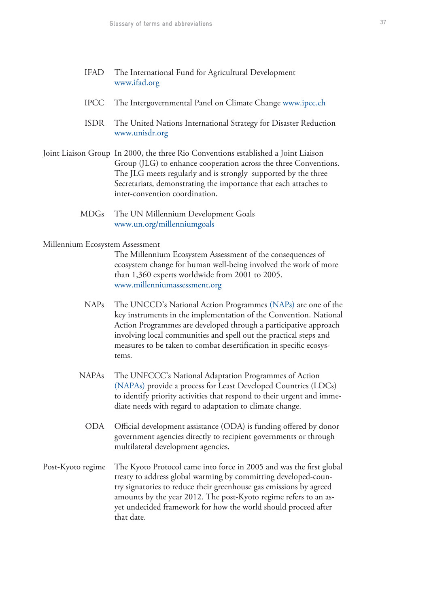- IFAD The International Fund for Agricultural Development www.ifad.org
- IPCC The Intergovernmental Panel on Climate Change www.ipcc.ch
- ISDR The United Nations International Strategy for Disaster Reduction www.unisdr.org
- Joint Liaison Group In 2000, the three Rio Conventions established a Joint Liaison Group (JLG) to enhance cooperation across the three Conventions. The JLG meets regularly and is strongly supported by the three Secretariats, demonstrating the importance that each attaches to inter-convention coordination.
	- MDGs The UN Millennium Development Goals www.un.org/millenniumgoals

### Millennium Ecosystem Assessment

 The Millennium Ecosystem Assessment of the consequences of ecosystem change for human well-being involved the work of more than 1,360 experts worldwide from 2001 to 2005. www.millenniumassessment.org

- NAPs The UNCCD's National Action Programmes (NAPs) are one of the key instruments in the implementation of the Convention. National Action Programmes are developed through a participative approach involving local communities and spell out the practical steps and measures to be taken to combat desertification in specific ecosystems.
- NAPAs The UNFCCC's National Adaptation Programmes of Action (NAPAs) provide a process for Least Developed Countries (LDCs) to identify priority activities that respond to their urgent and immediate needs with regard to adaptation to climate change.
	- ODA Official development assistance (ODA) is funding offered by donor government agencies directly to recipient governments or through multilateral development agencies.
- Post-Kyoto regime The Kyoto Protocol came into force in 2005 and was the first global treaty to address global warming by committing developed-country signatories to reduce their greenhouse gas emissions by agreed amounts by the year 2012. The post-Kyoto regime refers to an asyet undecided framework for how the world should proceed after that date.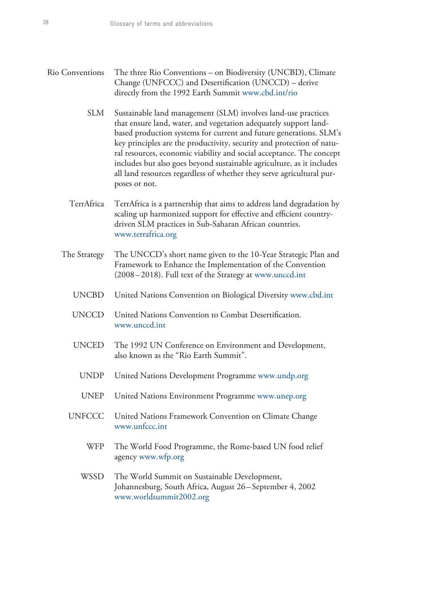Rio Conventions The three Rio Conventions – on Biodiversity (UNCBD), Climate

|               | Change (UNFCCC) and Desertification (UNCCD) – derive<br>directly from the 1992 Earth Summit www.cbd.int/rio                                                                                                                                                                                                                                                                                                                                                                                                                 |
|---------------|-----------------------------------------------------------------------------------------------------------------------------------------------------------------------------------------------------------------------------------------------------------------------------------------------------------------------------------------------------------------------------------------------------------------------------------------------------------------------------------------------------------------------------|
| <b>SLM</b>    | Sustainable land management (SLM) involves land-use practices<br>that ensure land, water, and vegetation adequately support land-<br>based production systems for current and future generations. SLM's<br>key principles are the productivity, security and protection of natu-<br>ral resources, economic viability and social acceptance. The concept<br>includes but also goes beyond sustainable agriculture, as it includes<br>all land resources regardless of whether they serve agricultural pur-<br>poses or not. |
| TerrAfrica    | TerrAfrica is a partnership that aims to address land degradation by<br>scaling up harmonized support for effective and efficient country-<br>driven SLM practices in Sub-Saharan African countries.<br>www.terrafrica.org                                                                                                                                                                                                                                                                                                  |
| The Strategy  | The UNCCD's short name given to the 10-Year Strategic Plan and<br>Framework to Enhance the Implementation of the Convention<br>(2008–2018). Full text of the Strategy at www.unccd.int                                                                                                                                                                                                                                                                                                                                      |
| <b>UNCBD</b>  | United Nations Convention on Biological Diversity www.cbd.int                                                                                                                                                                                                                                                                                                                                                                                                                                                               |
| <b>UNCCD</b>  | United Nations Convention to Combat Desertification.<br>www.unccd.int                                                                                                                                                                                                                                                                                                                                                                                                                                                       |
| <b>UNCED</b>  | The 1992 UN Conference on Environment and Development,<br>also known as the "Rio Earth Summit".                                                                                                                                                                                                                                                                                                                                                                                                                             |
| <b>UNDP</b>   | United Nations Development Programme www.undp.org                                                                                                                                                                                                                                                                                                                                                                                                                                                                           |
| <b>UNEP</b>   | United Nations Environment Programme www.unep.org                                                                                                                                                                                                                                                                                                                                                                                                                                                                           |
| <b>UNFCCC</b> | United Nations Framework Convention on Climate Change<br>www.unfccc.int                                                                                                                                                                                                                                                                                                                                                                                                                                                     |
| <b>WFP</b>    | The World Food Programme, the Rome-based UN food relief<br>agency www.wfp.org                                                                                                                                                                                                                                                                                                                                                                                                                                               |
| WSSD          | The World Summit on Sustainable Development,<br>Johannesburg, South Africa, August 26–September 4, 2002                                                                                                                                                                                                                                                                                                                                                                                                                     |

www.worldsummit2002.org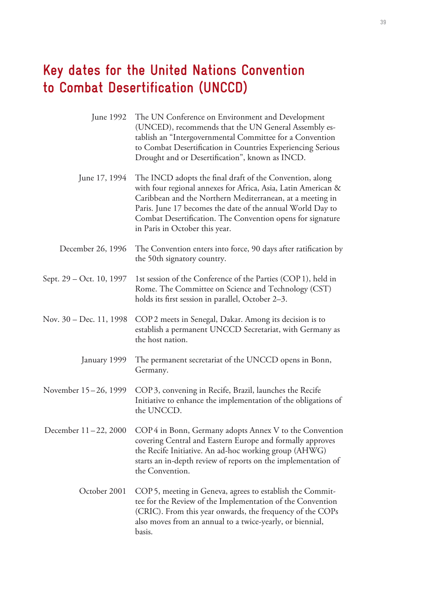# **Key dates for the United Nations Convention to Combat Desertification (UNCCD)**

|                          | June 1992 The UN Conference on Environment and Development<br>(UNCED), recommends that the UN General Assembly es-<br>tablish an "Intergovernmental Committee for a Convention<br>to Combat Desertification in Countries Experiencing Serious<br>Drought and or Desertification", known as INCD.                                                     |
|--------------------------|------------------------------------------------------------------------------------------------------------------------------------------------------------------------------------------------------------------------------------------------------------------------------------------------------------------------------------------------------|
| June 17, 1994            | The INCD adopts the final draft of the Convention, along<br>with four regional annexes for Africa, Asia, Latin American &<br>Caribbean and the Northern Mediterranean, at a meeting in<br>Paris. June 17 becomes the date of the annual World Day to<br>Combat Desertification. The Convention opens for signature<br>in Paris in October this year. |
| December 26, 1996        | The Convention enters into force, 90 days after ratification by<br>the 50th signatory country.                                                                                                                                                                                                                                                       |
| Sept. 29 – Oct. 10, 1997 | 1st session of the Conference of the Parties (COP 1), held in<br>Rome. The Committee on Science and Technology (CST)<br>holds its first session in parallel, October 2–3.                                                                                                                                                                            |
| Nov. 30 – Dec. 11, 1998  | COP2 meets in Senegal, Dakar. Among its decision is to<br>establish a permanent UNCCD Secretariat, with Germany as<br>the host nation.                                                                                                                                                                                                               |
| January 1999             | The permanent secretariat of the UNCCD opens in Bonn,<br>Germany.                                                                                                                                                                                                                                                                                    |
| November 15 – 26, 1999   | COP 3, convening in Recife, Brazil, launches the Recife<br>Initiative to enhance the implementation of the obligations of<br>the UNCCD.                                                                                                                                                                                                              |
| December 11-22, 2000     | COP4 in Bonn, Germany adopts Annex V to the Convention<br>covering Central and Eastern Europe and formally approves<br>the Recife Initiative. An ad-hoc working group (AHWG)<br>starts an in-depth review of reports on the implementation of<br>the Convention.                                                                                     |
| October 2001             | COP 5, meeting in Geneva, agrees to establish the Commit-<br>tee for the Review of the Implementation of the Convention<br>(CRIC). From this year onwards, the frequency of the COPs<br>also moves from an annual to a twice-yearly, or biennial,<br>basis.                                                                                          |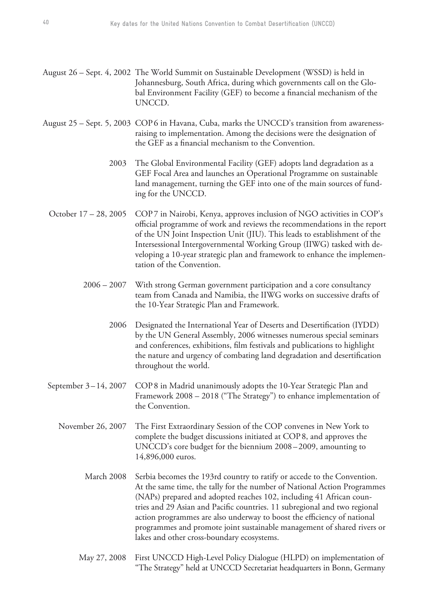- August 26 Sept. 4, 2002 The World Summit on Sustainable Development (WSSD) is held in Johannesburg, South Africa, during which governments call on the Global Environment Facility (GEF) to become a financial mechanism of the UNCCD.
- August 25 Sept. 5, 2003 COP 6 in Havana, Cuba, marks the UNCCD's transition from awarenessraising to implementation. Among the decisions were the designation of the GEF as a financial mechanism to the Convention.
	- 2003 The Global Environmental Facility (GEF) adopts land degradation as a GEF Focal Area and launches an Operational Programme on sustainable land management, turning the GEF into one of the main sources of funding for the UNCCD.
	- October 17 28, 2005 COP 7 in Nairobi, Kenya, approves inclusion of NGO activities in COP's official programme of work and reviews the recommendations in the report of the UN Joint Inspection Unit (JIU). This leads to establishment of the Intersessional Intergovernmental Working Group (IIWG) tasked with developing a 10-year strategic plan and framework to enhance the implementation of the Convention.
		- 2006 2007 With strong German government participation and a core consultancy team from Canada and Namibia, the IIWG works on successive drafts of the 10-Year Strategic Plan and Framework.
			- 2006 Designated the International Year of Deserts and Desertification (IYDD) by the UN General Assembly, 2006 witnesses numerous special seminars and conferences, exhibitions, film festivals and publications to highlight the nature and urgency of combating land degradation and desertification throughout the world.
	- September 3–14, 2007 COP 8 in Madrid unanimously adopts the 10-Year Strategic Plan and Framework 2008 – 2018 ("The Strategy") to enhance implementation of the Convention.
		- November 26, 2007 The First Extraordinary Session of the COP convenes in New York to complete the budget discussions initiated at COP 8, and approves the UNCCD's core budget for the biennium 2008 – 2009, amounting to 14,896,000 euros.
			- March 2008 Serbia becomes the 193rd country to ratify or accede to the Convention. At the same time, the tally for the number of National Action Programmes (NAPs) prepared and adopted reaches 102, including 41 African countries and 29 Asian and Pacific countries. 11 subregional and two regional action programmes are also underway to boost the efficiency of national programmes and promote joint sustainable management of shared rivers or lakes and other cross-boundary ecosystems.
			- May 27, 2008 First UNCCD High-Level Policy Dialogue (HLPD) on implementation of "The Strategy" held at UNCCD Secretariat headquarters in Bonn, Germany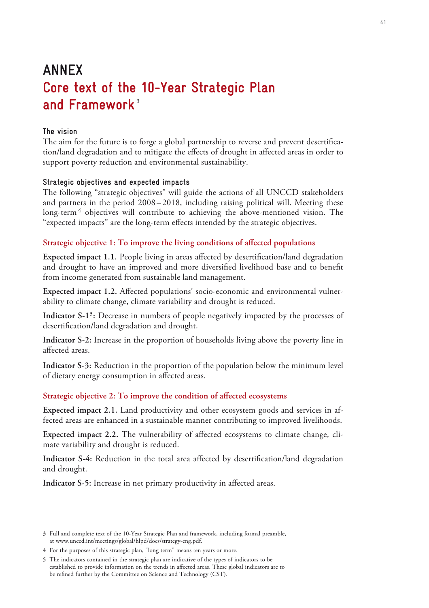# **ANNEX Core text of the 10-Year Strategic Plan**  and Framework<sup>3</sup>

## **The vision**

The aim for the future is to forge a global partnership to reverse and prevent desertification/land degradation and to mitigate the effects of drought in affected areas in order to support poverty reduction and environmental sustainability.

### **Strategic objectives and expected impacts**

The following "strategic objectives" will guide the actions of all UNCCD stakeholders and partners in the period 2008 – 2018, including raising political will. Meeting these long-term<sup>4</sup> objectives will contribute to achieving the above-mentioned vision. The "expected impacts" are the long-term effects intended by the strategic objectives.

## **Strategic objective 1: To improve the living conditions of affected populations**

**Expected impact 1.1.** People living in areas affected by desertification/land degradation and drought to have an improved and more diversified livelihood base and to benefit from income generated from sustainable land management.

**Expected impact 1.2.** Affected populations' socio-economic and environmental vulnerability to climate change, climate variability and drought is reduced.

Indicator S-1<sup>5</sup>: Decrease in numbers of people negatively impacted by the processes of desertification/land degradation and drought.

**Indicator S-2:** Increase in the proportion of households living above the poverty line in affected areas.

**Indicator S-3:** Reduction in the proportion of the population below the minimum level of dietary energy consumption in affected areas.

### **Strategic objective 2: To improve the condition of affected ecosystems**

**Expected impact 2.1.** Land productivity and other ecosystem goods and services in affected areas are enhanced in a sustainable manner contributing to improved livelihoods.

**Expected impact 2.2.** The vulnerability of affected ecosystems to climate change, climate variability and drought is reduced.

**Indicator S-4:** Reduction in the total area affected by desertification/land degradation and drought.

**Indicator S-5:** Increase in net primary productivity in affected areas.

**<sup>3</sup>** Full and complete text of the 10-Year Strategic Plan and framework, including formal preamble, at www.unccd.int/meetings/global/hlpd/docs/strategy-eng.pdf.

**<sup>4</sup>** For the purposes of this strategic plan, "long term" means ten years or more.

**<sup>5</sup>** The indicators contained in the strategic plan are indicative of the types of indicators to be established to provide information on the trends in affected areas. These global indicators are to be refined further by the Committee on Science and Technology (CST).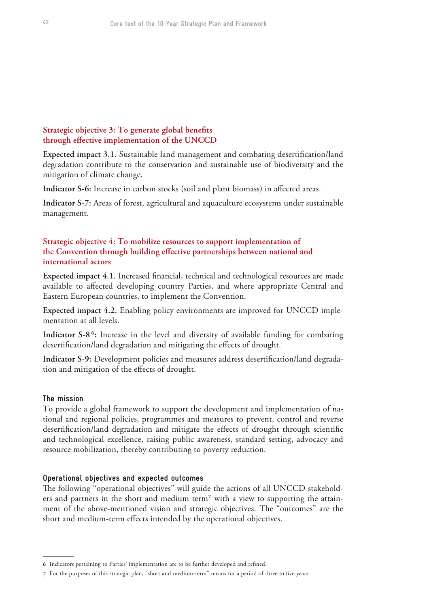# **Strategic objective 3: To generate global benefits through effective implementation of the UNCCD**

**Expected impact 3.1.** Sustainable land management and combating desertification/land degradation contribute to the conservation and sustainable use of biodiversity and the mitigation of climate change.

**Indicator S-6:** Increase in carbon stocks (soil and plant biomass) in affected areas.

**Indicator S-7:** Areas of forest, agricultural and aquaculture ecosystems under sustainable management.

## **Strategic objective 4: To mobilize resources to support implementation of the Convention through building effective partnerships between national and international actors**

**Expected impact 4.1.** Increased financial, technical and technological resources are made available to affected developing country Parties, and where appropriate Central and Eastern European countries, to implement the Convention.

**Expected impact 4.2.** Enabling policy environments are improved for UNCCD implementation at all levels.

Indicator S-8<sup>6</sup>: Increase in the level and diversity of available funding for combating desertification/land degradation and mitigating the effects of drought.

**Indicator S-9:** Development policies and measures address desertification/land degradation and mitigation of the effects of drought.

## **The mission**

To provide a global framework to support the development and implementation of national and regional policies, programmes and measures to prevent, control and reverse desertification/land degradation and mitigate the effects of drought through scientific and technological excellence, raising public awareness, standard setting, advocacy and resource mobilization, thereby contributing to poverty reduction.

## **Operational objectives and expected outcomes**

The following "operational objectives" will guide the actions of all UNCCD stakeholders and partners in the short and medium term<sup>7</sup> with a view to supporting the attainment of the above-mentioned vision and strategic objectives. The "outcomes" are the short and medium-term effects intended by the operational objectives.

**<sup>6</sup>** Indicators pertaining to Parties' implementation are to be further developed and refined.

**<sup>7</sup>** For the purposes of this strategic plan, "short and medium-term" means for a period of three to five years.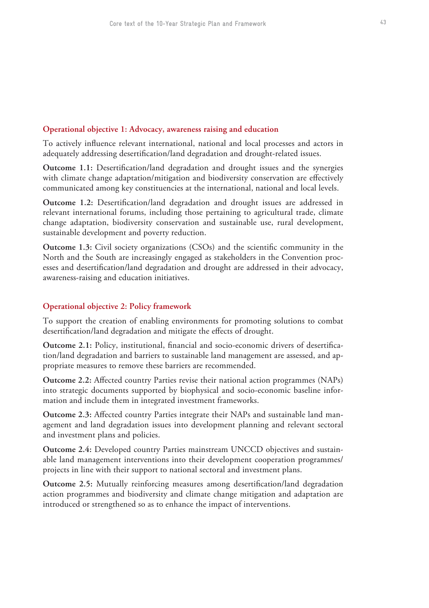## **Operational objective 1: Advocacy, awareness raising and education**

To actively influence relevant international, national and local processes and actors in adequately addressing desertification/land degradation and drought-related issues.

**Outcome 1.1:** Desertification/land degradation and drought issues and the synergies with climate change adaptation/mitigation and biodiversity conservation are effectively communicated among key constituencies at the international, national and local levels.

**Outcome 1.2:** Desertification/land degradation and drought issues are addressed in relevant international forums, including those pertaining to agricultural trade, climate change adaptation, biodiversity conservation and sustainable use, rural development, sustainable development and poverty reduction.

**Outcome 1.3:** Civil society organizations (CSOs) and the scientific community in the North and the South are increasingly engaged as stakeholders in the Convention processes and desertification/land degradation and drought are addressed in their advocacy, awareness-raising and education initiatives.

## **Operational objective 2: Policy framework**

To support the creation of enabling environments for promoting solutions to combat desertification/land degradation and mitigate the effects of drought.

**Outcome 2.1:** Policy, institutional, financial and socio-economic drivers of desertification/land degradation and barriers to sustainable land management are assessed, and appropriate measures to remove these barriers are recommended.

**Outcome 2.2:** Affected country Parties revise their national action programmes (NAPs) into strategic documents supported by biophysical and socio-economic baseline information and include them in integrated investment frameworks.

**Outcome 2.3:** Affected country Parties integrate their NAPs and sustainable land management and land degradation issues into development planning and relevant sectoral and investment plans and policies.

**Outcome 2.4:** Developed country Parties mainstream UNCCD objectives and sustainable land management interventions into their development cooperation programmes/ projects in line with their support to national sectoral and investment plans.

**Outcome 2.5:** Mutually reinforcing measures among desertification/land degradation action programmes and biodiversity and climate change mitigation and adaptation are introduced or strengthened so as to enhance the impact of interventions.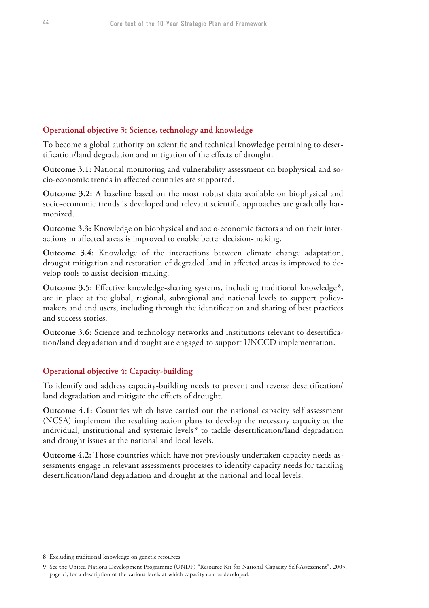## **Operational objective 3: Science, technology and knowledge**

To become a global authority on scientific and technical knowledge pertaining to desertification/land degradation and mitigation of the effects of drought.

**Outcome 3.1:** National monitoring and vulnerability assessment on biophysical and socio-economic trends in affected countries are supported.

**Outcome 3.2:** A baseline based on the most robust data available on biophysical and socio-economic trends is developed and relevant scientific approaches are gradually harmonized.

**Outcome 3.3:** Knowledge on biophysical and socio-economic factors and on their interactions in affected areas is improved to enable better decision-making.

**Outcome 3.4:** Knowledge of the interactions between climate change adaptation, drought mitigation and restoration of degraded land in affected areas is improved to develop tools to assist decision-making.

**Outcome 3.5:** Effective knowledge-sharing systems, including traditional knowledge<sup>8</sup>, are in place at the global, regional, subregional and national levels to support policymakers and end users, including through the identification and sharing of best practices and success stories.

**Outcome 3.6:** Science and technology networks and institutions relevant to desertification/land degradation and drought are engaged to support UNCCD implementation.

## **Operational objective 4: Capacity-building**

To identify and address capacity-building needs to prevent and reverse desertification/ land degradation and mitigate the effects of drought.

**Outcome 4.1:** Countries which have carried out the national capacity self assessment (NCSA) implement the resulting action plans to develop the necessary capacity at the individual, institutional and systemic levels<sup>9</sup> to tackle desertification/land degradation and drought issues at the national and local levels.

**Outcome 4.2:** Those countries which have not previously undertaken capacity needs assessments engage in relevant assessments processes to identify capacity needs for tackling desertification/land degradation and drought at the national and local levels.

**<sup>8</sup>** Excluding traditional knowledge on genetic resources.

**<sup>9</sup>** See the United Nations Development Programme (UNDP) "Resource Kit for National Capacity Self-Assessment", 2005, page vi, for a description of the various levels at which capacity can be developed.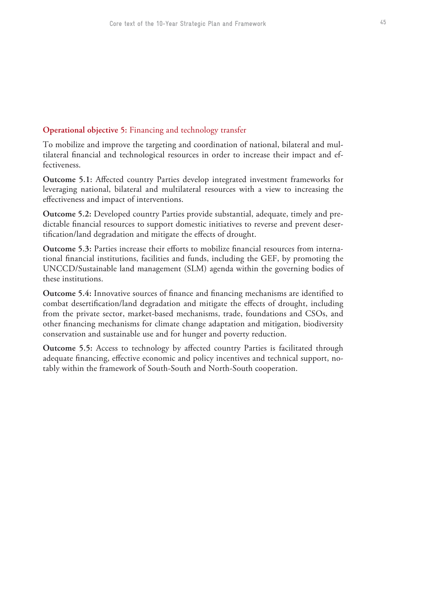# **Operational objective 5:** Financing and technology transfer

To mobilize and improve the targeting and coordination of national, bilateral and multilateral financial and technological resources in order to increase their impact and effectiveness.

**Outcome 5.1:** Affected country Parties develop integrated investment frameworks for leveraging national, bilateral and multilateral resources with a view to increasing the effectiveness and impact of interventions.

**Outcome 5.2:** Developed country Parties provide substantial, adequate, timely and predictable financial resources to support domestic initiatives to reverse and prevent desertification/land degradation and mitigate the effects of drought.

**Outcome 5.3:** Parties increase their efforts to mobilize financial resources from international financial institutions, facilities and funds, including the GEF, by promoting the UNCCD/Sustainable land management (SLM) agenda within the governing bodies of these institutions.

**Outcome 5.4:** Innovative sources of finance and financing mechanisms are identified to combat desertification/land degradation and mitigate the effects of drought, including from the private sector, market-based mechanisms, trade, foundations and CSOs, and other financing mechanisms for climate change adaptation and mitigation, biodiversity conservation and sustainable use and for hunger and poverty reduction.

**Outcome 5.5:** Access to technology by affected country Parties is facilitated through adequate financing, effective economic and policy incentives and technical support, notably within the framework of South-South and North-South cooperation.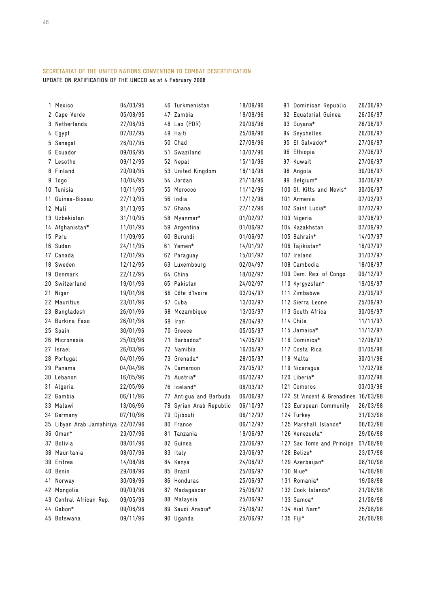# **SECRETARIAT OF THE UNITED NATIONS CONVENTION TO COMBAT DESERTIFICATION**

**UPDATE ON RATIFICATION OF THE UNCCD as at 4 February 2008**

|    | 1 Mexico                           | 04/03/95 |    | 46 Turkmenistan      | 18/09/96 | 91 | Dominican Republic                   | 26/06/97 |
|----|------------------------------------|----------|----|----------------------|----------|----|--------------------------------------|----------|
|    | 2 Cape Verde                       | 05/08/95 |    | 47 Zambia            | 19/09/96 | 92 | Equatorial Guinea                    | 26/06/97 |
|    | 3 Netherlands                      | 27/06/95 |    | 48 Lao (PDR)         | 20/09/96 | 93 | Guyana*                              | 26/06/97 |
|    | 4 Egypt                            | 07/07/95 | 49 | Haiti                | 25/09/96 |    | 94 Seychelles                        | 26/06/97 |
|    | 5 Senegal                          | 26/07/95 | 50 | Chad                 | 27/09/96 | 95 | El Salvador*                         | 27/06/97 |
|    | 6 Ecuador                          | 09/06/95 | 51 | Swaziland            | 10/07/96 | 96 | Ethiopia                             | 27/06/97 |
|    | 7 Lesotho                          | 09/12/95 |    | 52 Nepal             | 15/10/96 |    | 97 Kuwait                            | 27/06/97 |
|    | 8 Finland                          | 20/09/95 |    | 53 United Kingdom    | 18/10/96 | 98 | Angola                               | 30/06/97 |
|    | 9 Togo                             | 10/04/95 |    | 54 Jordan            | 21/10/96 |    | 99 Belgium*                          | 30/06/97 |
|    | 10 Tunisia                         | 10/11/95 | 55 | Morocco              | 11/12/96 |    | 100 St. Kitts and Nevis*             | 30/06/97 |
| 11 | Guinea-Bissau                      | 27/10/95 |    | 56 India             | 17/12/96 |    | 101 Armenia                          | 07/02/97 |
|    | 12 Mali                            | 31/10/95 | 57 | Ghana                | 27/12/96 |    | 102 Saint Lucia*                     | 07/02/97 |
|    | 13 Uzbekistan                      | 31/10/95 | 58 | Myanmar*             | 01/02/97 |    | 103 Nigeria                          | 07/08/97 |
|    | 14 Afghanistan*                    | 11/01/95 |    | 59 Argentina         | 01/06/97 |    | 104 Kazakhstan                       | 07/09/97 |
|    | 15 Peru                            | 11/09/95 | 60 | Burundi              | 01/06/97 |    | 105 Bahrain*                         | 14/07/97 |
|    | 16 Sudan                           | 24/11/95 | 61 | Yemen*               | 14/01/97 |    | 106 Tajikistan*                      | 16/07/97 |
|    | 17 Canada                          | 12/01/95 |    | 62 Paraguay          | 15/01/97 |    | 107 Ireland                          | 31/07/97 |
|    | 18 Sweden                          | 12/12/95 |    | 63 Luxembourg        | 02/04/97 |    | 108 Cambodia                         | 18/08/97 |
|    | 19 Denmark                         | 22/12/95 |    | 64 China             | 18/02/97 |    | 109 Dem. Rep. of Congo               | 09/12/97 |
|    | 20 Switzerland                     | 19/01/96 |    | 65 Pakistan          | 24/02/97 |    | 110 Kyrgyzstan*                      | 19/09/97 |
| 21 | Niger                              | 19/01/96 | 66 | Côte d'Ivoire        | 03/04/97 |    | 111 Zimbabwe                         | 23/09/97 |
|    | 22 Mauritius                       | 23/01/96 | 67 | Cuba                 | 13/03/97 |    | 112 Sierra Leone                     | 25/09/97 |
|    | 23 Bangladesh                      | 26/01/96 | 68 | Mozambique           | 13/03/97 |    | 113 South Africa                     | 30/09/97 |
|    | 24 Burkina Faso                    | 26/01/96 | 69 | Iran                 | 29/04/97 |    | 114 Chile                            | 11/11/97 |
|    | 25 Spain                           | 30/01/96 |    | 70 Greece            | 05/05/97 |    | 115 Jamaica*                         | 11/12/97 |
|    | 26 Micronesia                      | 25/03/96 | 71 | Barbados*            | 14/05/97 |    | 116 Dominica*                        | 12/08/97 |
|    | 27 Israel                          | 26/03/96 | 72 | Namibia              | 16/05/97 |    | 117 Costa Rica                       | 01/05/98 |
|    | 28 Portugal                        | 04/01/96 | 73 | Grenada*             | 28/05/97 |    | 118 Malta                            | 30/01/98 |
|    | 29 Panama                          | 04/04/96 | 74 | Cameroon             | 29/05/97 |    | 119 Nicaragua                        | 17/02/98 |
|    | 30 Lebanon                         | 16/05/96 |    | 75 Austria*          | 06/02/97 |    | 120 Liberia*                         | 03/02/98 |
|    | 31 Algeria                         | 22/05/96 |    | 76 Iceland*          | 06/03/97 |    | 121 Comoros                          | 03/03/98 |
|    | 32 Gambia                          | 06/11/96 | 77 | Antigua and Barbuda  | 06/06/97 |    | 122 St Vincent & Grenadines 16/03/98 |          |
|    | 33 Malawi                          | 13/06/96 | 78 | Syrian Arab Republic | 06/10/97 |    | 123 European Community               | 26/03/98 |
|    | 34 Germany                         | 07/10/96 |    | 79 Djibouti          | 06/12/97 |    | 124 Turkey                           | 31/03/98 |
|    | 35 Libyan Arab Jamahiriya 22/07/96 |          |    | 80 France            | 06/12/97 |    | 125 Marshall Islands*                | 06/02/98 |
|    | 36 Oman*                           | 23/07/96 |    | 81 Tanzania          | 19/06/97 |    | 126 Venezuela*                       | 29/06/98 |
|    | 37 Bolivia                         | 08/01/96 |    | 82 Guinea            | 23/06/97 |    | 127 Sao Tome and Principe            | 07/08/98 |
|    | 38 Mauritania                      | 08/07/96 |    | 83 Italy             | 23/06/97 |    | 128 Belize*                          | 23/07/98 |
|    | 39 Eritrea                         | 14/08/96 |    | 84 Kenya             | 24/06/97 |    | 129 Azerbaijan*                      | 08/10/98 |
|    | 40 Benin                           | 29/08/96 |    | 85 Brazil            | 25/06/97 |    | 130 Niue*                            | 14/08/98 |
|    | 41 Norway                          | 30/08/96 |    | 86 Honduras          | 25/06/97 |    | 131 Romania*                         | 19/08/98 |
|    | 42 Mongolia                        | 09/03/96 | 87 | Madagascar           | 25/06/97 |    | 132 Cook Islands*                    | 21/08/98 |
|    | 43 Central African Rep.            | 09/05/96 | 88 | Malaysia             | 25/06/97 |    | 133 Samoa*                           | 21/08/98 |
|    | 44 Gabon*                          | 09/06/96 |    | 89 Saudi Arabia*     | 25/06/97 |    | 134 Viet Nam*                        | 25/08/98 |
|    | 45 Botswana                        | 09/11/96 |    | 90 Uganda            | 25/06/97 |    | 135 Fiji*                            | 26/08/98 |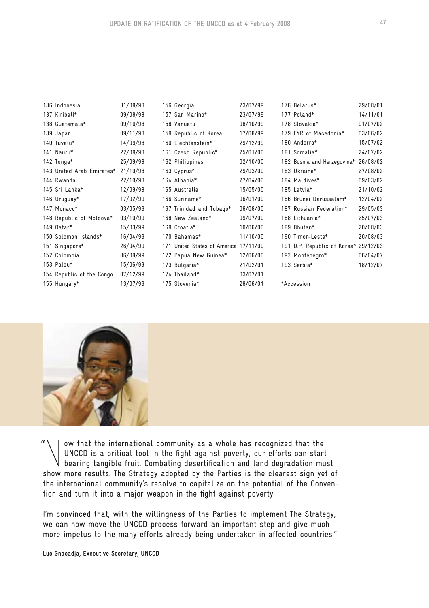| 136 Indonesia             | 31/08/98 | 156 Georgia                           | 23/07/99 | 176 Belarus*                         | 29/08/01 |
|---------------------------|----------|---------------------------------------|----------|--------------------------------------|----------|
| 137 Kiribati*             | 09/08/98 | 157 San Marino*                       | 23/07/99 | 177 Poland*                          | 14/11/01 |
| 138 Guatemala*            | 09/10/98 | 158 Vanuatu                           | 08/10/99 | 178 Slovakia*                        | 01/07/02 |
| 139 Japan                 | 09/11/98 | 159 Republic of Korea                 | 17/08/99 | 179 FYR of Macedonia*                | 03/06/02 |
| 140 Tuvalu*               | 14/09/98 | 160 Liechtenstein*                    | 29/12/99 | 180 Andorra*                         | 15/07/02 |
| 141 Nauru*                | 22/09/98 | 161 Czech Republic*                   | 25/01/00 | 181 Somalia*                         | 24/07/02 |
| 142 Tonga*                | 25/09/98 | 162 Philippines                       | 02/10/00 | 182 Bosnia and Herzegovina*          | 26/08/02 |
| 143 United Arab Emirates* | 21/10/98 | 163 Cyprus*                           | 29/03/00 | 183 Ukraine*                         | 27/08/02 |
| 144 Rwanda                | 22/10/98 | 164 Albania*                          | 27/04/00 | 184 Maldives*                        | 09/03/02 |
| 145 Sri Lanka*            | 12/09/98 | 165 Australia                         | 15/05/00 | 185 Latvia*                          | 21/10/02 |
| 146 Uruguay*              | 17/02/99 | 166 Suriname*                         | 06/01/00 | 186 Brunei Darussalam*               | 12/04/02 |
| 147 Monaco*               | 03/05/99 | 167 Trinidad and Tobago*              | 06/08/00 | 187 Russian Federation*              | 29/05/03 |
| 148 Republic of Moldova*  | 03/10/99 | 168 New Zealand*                      | 09/07/00 | 188 Lithuania*                       | 25/07/03 |
| 149 Qatar*                | 15/03/99 | 169 Croatia*                          | 10/06/00 | 189 Bhutan*                          | 20/08/03 |
| 150 Solomon Islands*      | 16/04/99 | 170 Bahamas*                          | 11/10/00 | 190 Timor-Leste*                     | 20/08/03 |
| 151 Singapore*            | 26/04/99 | 171 United States of America 17/11/00 |          | 191 D.P. Republic of Korea* 29/12/03 |          |
| 152 Colombia              | 06/08/99 | 172 Papua New Guinea*                 | 12/06/00 | 192 Montenegro*                      | 06/04/07 |
| 153 Palau*                | 15/06/99 | 173 Bulgaria*                         | 21/02/01 | 193 Serbia*                          | 18/12/07 |
| 154 Republic of the Congo | 07/12/99 | 174 Thailand*                         | 03/07/01 |                                      |          |
| 155 Hungary*              | 13/07/99 | 175 Slovenia*                         | 28/06/01 | *Accession                           |          |



Now that the international community as a whole has recognized that the bearing tangible fruit. Combating desertification and land degradation must UNCCD is a critical tool in the fight against poverty, our efforts can start show more results. The Strategy adopted by the Parties is the clearest sign yet of the international community's resolve to capitalize on the potential of the Convention and turn it into a major weapon in the fight against poverty. "

I'm convinced that, with the willingness of the Parties to implement The Strategy, we can now move the UNCCD process forward an important step and give much more impetus to the many efforts already being undertaken in affected countries."

**Luc Gnacadja, Executive Secretary, UNCCD**